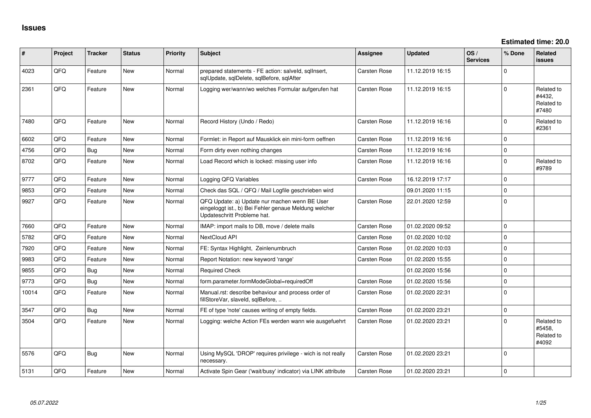**Estimated time: 20.0**

| #     | Project | <b>Tracker</b> | <b>Status</b> | <b>Priority</b> | <b>Subject</b>                                                                                                                        | Assignee            | <b>Updated</b>   | OS/<br><b>Services</b> | % Done         | Related<br><b>issues</b>                    |
|-------|---------|----------------|---------------|-----------------|---------------------------------------------------------------------------------------------------------------------------------------|---------------------|------------------|------------------------|----------------|---------------------------------------------|
| 4023  | QFQ     | Feature        | New           | Normal          | prepared statements - FE action: salveld, sqlInsert,<br>sqlUpdate, sqlDelete, sqlBefore, sqlAfter                                     | Carsten Rose        | 11.12.2019 16:15 |                        | $\Omega$       |                                             |
| 2361  | QFQ     | Feature        | <b>New</b>    | Normal          | Logging wer/wann/wo welches Formular aufgerufen hat                                                                                   | <b>Carsten Rose</b> | 11.12.2019 16:15 |                        | $\Omega$       | Related to<br>#4432,<br>Related to<br>#7480 |
| 7480  | QFQ     | Feature        | <b>New</b>    | Normal          | Record History (Undo / Redo)                                                                                                          | Carsten Rose        | 11.12.2019 16:16 |                        | $\mathbf 0$    | Related to<br>#2361                         |
| 6602  | QFQ     | Feature        | New           | Normal          | Formlet: in Report auf Mausklick ein mini-form oeffnen                                                                                | Carsten Rose        | 11.12.2019 16:16 |                        | $\Omega$       |                                             |
| 4756  | QFQ     | <b>Bug</b>     | New           | Normal          | Form dirty even nothing changes                                                                                                       | Carsten Rose        | 11.12.2019 16:16 |                        | $\Omega$       |                                             |
| 8702  | QFQ     | Feature        | New           | Normal          | Load Record which is locked: missing user info                                                                                        | Carsten Rose        | 11.12.2019 16:16 |                        | $\Omega$       | Related to<br>#9789                         |
| 9777  | QFQ     | Feature        | New           | Normal          | Logging QFQ Variables                                                                                                                 | Carsten Rose        | 16.12.2019 17:17 |                        | $\Omega$       |                                             |
| 9853  | QFQ     | Feature        | <b>New</b>    | Normal          | Check das SQL / QFQ / Mail Logfile geschrieben wird                                                                                   |                     | 09.01.2020 11:15 |                        | $\Omega$       |                                             |
| 9927  | QFQ     | Feature        | <b>New</b>    | Normal          | QFQ Update: a) Update nur machen wenn BE User<br>eingeloggt ist., b) Bei Fehler genaue Meldung welcher<br>Updateschritt Probleme hat. | Carsten Rose        | 22.01.2020 12:59 |                        | $\Omega$       |                                             |
| 7660  | QFQ     | Feature        | New           | Normal          | IMAP: import mails to DB, move / delete mails                                                                                         | Carsten Rose        | 01.02.2020 09:52 |                        | $\Omega$       |                                             |
| 5782  | QFQ     | Feature        | <b>New</b>    | Normal          | NextCloud API                                                                                                                         | Carsten Rose        | 01.02.2020 10:02 |                        | $\Omega$       |                                             |
| 7920  | QFQ     | Feature        | New           | Normal          | FE: Syntax Highlight, Zeinlenumbruch                                                                                                  | Carsten Rose        | 01.02.2020 10:03 |                        | $\Omega$       |                                             |
| 9983  | QFQ     | Feature        | <b>New</b>    | Normal          | Report Notation: new keyword 'range'                                                                                                  | Carsten Rose        | 01.02.2020 15:55 |                        | $\mathbf 0$    |                                             |
| 9855  | QFQ     | <b>Bug</b>     | <b>New</b>    | Normal          | <b>Required Check</b>                                                                                                                 |                     | 01.02.2020 15:56 |                        | $\mathbf 0$    |                                             |
| 9773  | QFQ     | <b>Bug</b>     | <b>New</b>    | Normal          | form.parameter.formModeGlobal=requiredOff                                                                                             | Carsten Rose        | 01.02.2020 15:56 |                        | $\Omega$       |                                             |
| 10014 | QFQ     | Feature        | New           | Normal          | Manual.rst: describe behaviour and process order of<br>fillStoreVar, slaveId, sqlBefore,                                              | Carsten Rose        | 01.02.2020 22:31 |                        | $\overline{0}$ |                                             |
| 3547  | QFQ     | <b>Bug</b>     | <b>New</b>    | Normal          | FE of type 'note' causes writing of empty fields.                                                                                     | <b>Carsten Rose</b> | 01.02.2020 23:21 |                        | $\Omega$       |                                             |
| 3504  | QFQ     | Feature        | <b>New</b>    | Normal          | Logging: welche Action FEs werden wann wie ausgefuehrt                                                                                | Carsten Rose        | 01.02.2020 23:21 |                        | $\Omega$       | Related to<br>#5458,<br>Related to<br>#4092 |
| 5576  | QFQ     | Bug            | New           | Normal          | Using MySQL 'DROP' requires privilege - wich is not really<br>necessary.                                                              | Carsten Rose        | 01.02.2020 23:21 |                        | $\Omega$       |                                             |
| 5131  | QFQ     | Feature        | <b>New</b>    | Normal          | Activate Spin Gear ('wait/busy' indicator) via LINK attribute                                                                         | Carsten Rose        | 01.02.2020 23:21 |                        | $\overline{0}$ |                                             |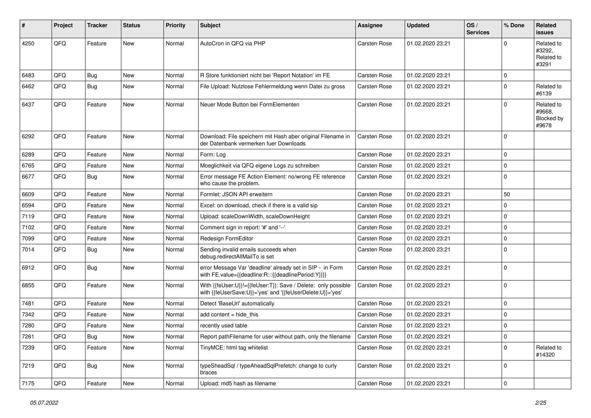| $\vert$ # | Project | <b>Tracker</b> | <b>Status</b> | <b>Priority</b> | <b>Subject</b>                                                                                                             | <b>Assignee</b>     | <b>Updated</b>   | OS/<br><b>Services</b> | % Done         | Related<br>issues                           |
|-----------|---------|----------------|---------------|-----------------|----------------------------------------------------------------------------------------------------------------------------|---------------------|------------------|------------------------|----------------|---------------------------------------------|
| 4250      | QFQ     | Feature        | New           | Normal          | AutoCron in QFQ via PHP                                                                                                    | <b>Carsten Rose</b> | 01.02.2020 23:21 |                        | $\Omega$       | Related to<br>#3292,<br>Related to<br>#3291 |
| 6483      | QFQ     | <b>Bug</b>     | <b>New</b>    | Normal          | R Store funktioniert nicht bei 'Report Notation' im FE                                                                     | Carsten Rose        | 01.02.2020 23:21 |                        | $\mathbf 0$    |                                             |
| 6462      | QFQ     | Bug            | New           | Normal          | File Upload: Nutzlose Fehlermeldung wenn Datei zu gross                                                                    | Carsten Rose        | 01.02.2020 23:21 |                        | $\mathbf 0$    | Related to<br>#6139                         |
| 6437      | QFQ     | Feature        | <b>New</b>    | Normal          | Neuer Mode Button bei FormElementen                                                                                        | Carsten Rose        | 01.02.2020 23:21 |                        | $\Omega$       | Related to<br>#9668.<br>Blocked by<br>#9678 |
| 6292      | QFQ     | Feature        | <b>New</b>    | Normal          | Download: File speichern mit Hash aber original Filename in<br>der Datenbank vermerken fuer Downloads                      | <b>Carsten Rose</b> | 01.02.2020 23:21 |                        | $\mathbf 0$    |                                             |
| 6289      | QFQ     | Feature        | <b>New</b>    | Normal          | Form: Log                                                                                                                  | Carsten Rose        | 01.02.2020 23:21 |                        | $\mathbf 0$    |                                             |
| 6765      | QFQ     | Feature        | <b>New</b>    | Normal          | Moeglichkeit via QFQ eigene Logs zu schreiben                                                                              | Carsten Rose        | 01.02.2020 23:21 |                        | $\mathbf 0$    |                                             |
| 6677      | QFQ     | Bug            | New           | Normal          | Error message FE Action Element: no/wrong FE reference<br>who cause the problem.                                           | Carsten Rose        | 01.02.2020 23:21 |                        | $\mathbf 0$    |                                             |
| 6609      | QFQ     | Feature        | <b>New</b>    | Normal          | Formlet: JSON API erweitern                                                                                                | <b>Carsten Rose</b> | 01.02.2020 23:21 |                        | 50             |                                             |
| 6594      | QFQ     | Feature        | New           | Normal          | Excel: on download, check if there is a valid sip                                                                          | Carsten Rose        | 01.02.2020 23:21 |                        | $\mathbf 0$    |                                             |
| 7119      | QFQ     | Feature        | <b>New</b>    | Normal          | Upload: scaleDownWidth, scaleDownHeight                                                                                    | Carsten Rose        | 01.02.2020 23:21 |                        | $\mathbf 0$    |                                             |
| 7102      | QFQ     | Feature        | New           | Normal          | Comment sign in report: '#' and '--'                                                                                       | Carsten Rose        | 01.02.2020 23:21 |                        | $\mathbf 0$    |                                             |
| 7099      | QFQ     | Feature        | New           | Normal          | Redesign FormEditor                                                                                                        | Carsten Rose        | 01.02.2020 23:21 |                        | $\mathbf 0$    |                                             |
| 7014      | QFQ     | Bug            | <b>New</b>    | Normal          | Sending invalid emails succeeds when<br>debug.redirectAllMailTo is set                                                     | Carsten Rose        | 01.02.2020 23:21 |                        | $\mathbf 0$    |                                             |
| 6912      | QFQ     | Bug            | <b>New</b>    | Normal          | error Message Var 'deadline' already set in SIP - in Form<br>with FE.value={{deadline:R:::{{deadlinePeriod:Y}}}}           | Carsten Rose        | 01.02.2020 23:21 |                        | $\mathbf 0$    |                                             |
| 6855      | QFQ     | Feature        | New           | Normal          | With {{feUser:U}}!={{feUser:T}}: Save / Delete: only possible<br>with {{feUserSave:U}}='yes' and '{{feUserDelete:U}}='yes' | Carsten Rose        | 01.02.2020 23:21 |                        | $\mathbf 0$    |                                             |
| 7481      | QFQ     | Feature        | <b>New</b>    | Normal          | Detect 'BaseUrl' automatically                                                                                             | Carsten Rose        | 01.02.2020 23:21 |                        | $\mathbf 0$    |                                             |
| 7342      | QFQ     | Feature        | New           | Normal          | add content = hide_this                                                                                                    | Carsten Rose        | 01.02.2020 23:21 |                        | $\mathbf 0$    |                                             |
| 7280      | QFQ     | Feature        | <b>New</b>    | Normal          | recently used table                                                                                                        | Carsten Rose        | 01.02.2020 23:21 |                        | $\mathbf 0$    |                                             |
| 7261      | QFQ     | Bug            | New           | Normal          | Report pathFilename for user without path, only the filename                                                               | Carsten Rose        | 01.02.2020 23:21 |                        | $\overline{0}$ |                                             |
| 7239      | QFQ     | Feature        | New           | Normal          | TinyMCE: html tag whitelist                                                                                                | Carsten Rose        | 01.02.2020 23:21 |                        | $\mathbf 0$    | Related to<br>#14320                        |
| 7219      | QFQ     | <b>Bug</b>     | New           | Normal          | typeSheadSql / typeAheadSqlPrefetch: change to curly<br>braces                                                             | Carsten Rose        | 01.02.2020 23:21 |                        | $\mathbf 0$    |                                             |
| 7175      | QFQ     | Feature        | New           | Normal          | Upload: md5 hash as filename                                                                                               | Carsten Rose        | 01.02.2020 23:21 |                        | $\mathbf 0$    |                                             |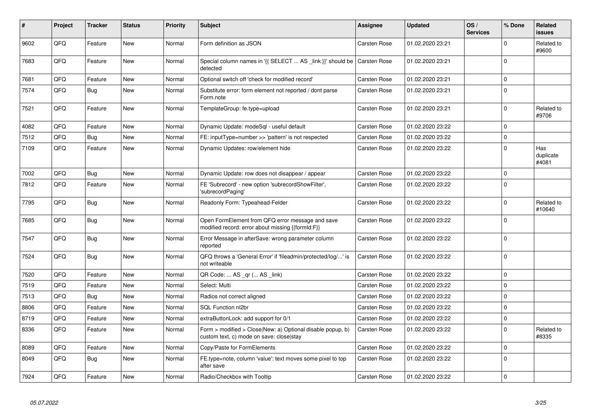| #    | Project | <b>Tracker</b> | <b>Status</b> | <b>Priority</b> | <b>Subject</b>                                                                                         | Assignee     | <b>Updated</b>   | OS/<br><b>Services</b> | % Done       | <b>Related</b><br><b>issues</b> |
|------|---------|----------------|---------------|-----------------|--------------------------------------------------------------------------------------------------------|--------------|------------------|------------------------|--------------|---------------------------------|
| 9602 | QFQ     | Feature        | <b>New</b>    | Normal          | Form definition as JSON                                                                                | Carsten Rose | 01.02.2020 23:21 |                        | $\Omega$     | Related to<br>#9600             |
| 7683 | QFQ     | Feature        | <b>New</b>    | Normal          | Special column names in '{{ SELECT  AS _link }}' should be Carsten Rose<br>detected                    |              | 01.02.2020 23:21 |                        | $\Omega$     |                                 |
| 7681 | QFQ     | Feature        | <b>New</b>    | Normal          | Optional switch off 'check for modified record'                                                        | Carsten Rose | 01.02.2020 23:21 |                        | $\Omega$     |                                 |
| 7574 | QFQ     | <b>Bug</b>     | <b>New</b>    | Normal          | Substitute error: form element not reported / dont parse<br>Form.note                                  | Carsten Rose | 01.02.2020 23:21 |                        | $\Omega$     |                                 |
| 7521 | QFQ     | Feature        | <b>New</b>    | Normal          | TemplateGroup: fe.type=upload                                                                          | Carsten Rose | 01.02.2020 23:21 |                        | 0            | Related to<br>#9706             |
| 4082 | QFQ     | Feature        | New           | Normal          | Dynamic Update: modeSql - useful default                                                               | Carsten Rose | 01.02.2020 23:22 |                        | <sup>0</sup> |                                 |
| 7512 | QFQ     | Bug            | <b>New</b>    | Normal          | FE: inputType=number >> 'pattern' is not respected                                                     | Carsten Rose | 01.02.2020 23:22 |                        | $\Omega$     |                                 |
| 7109 | QFQ     | Feature        | <b>New</b>    | Normal          | Dynamic Updates: row/element hide                                                                      | Carsten Rose | 01.02.2020 23:22 |                        | $\Omega$     | Has<br>duplicate<br>#4081       |
| 7002 | QFQ     | Bug            | <b>New</b>    | Normal          | Dynamic Update: row does not disappear / appear                                                        | Carsten Rose | 01.02.2020 23:22 |                        | $\Omega$     |                                 |
| 7812 | QFQ     | Feature        | <b>New</b>    | Normal          | FE 'Subrecord' - new option 'subrecordShowFilter',<br>subrecordPaging                                  | Carsten Rose | 01.02.2020 23:22 |                        | $\Omega$     |                                 |
| 7795 | QFQ     | <b>Bug</b>     | New           | Normal          | Readonly Form: Typeahead-Felder                                                                        | Carsten Rose | 01.02.2020 23:22 |                        | 0            | Related to<br>#10640            |
| 7685 | QFQ     | Bug            | New           | Normal          | Open FormElement from QFQ error message and save<br>modified record: error about missing {{formId:F}}  | Carsten Rose | 01.02.2020 23:22 |                        | $\Omega$     |                                 |
| 7547 | QFQ     | Bug            | <b>New</b>    | Normal          | Error Message in afterSave: wrong parameter column<br>reported                                         | Carsten Rose | 01.02.2020 23:22 |                        | $\Omega$     |                                 |
| 7524 | QFQ     | Bug            | <b>New</b>    | Normal          | QFQ throws a 'General Error' if 'fileadmin/protected/log/' is<br>not writeable                         | Carsten Rose | 01.02.2020 23:22 |                        | $\Omega$     |                                 |
| 7520 | QFQ     | Feature        | <b>New</b>    | Normal          | QR Code:  AS _qr ( AS _link)                                                                           | Carsten Rose | 01.02.2020 23:22 |                        | $\Omega$     |                                 |
| 7519 | QFQ     | Feature        | New           | Normal          | Select: Multi                                                                                          | Carsten Rose | 01.02.2020 23:22 |                        | $\Omega$     |                                 |
| 7513 | QFQ     | Bug            | New           | Normal          | Radios not correct aligned                                                                             | Carsten Rose | 01.02.2020 23:22 |                        | $\Omega$     |                                 |
| 8806 | QFQ     | Feature        | <b>New</b>    | Normal          | SQL Function nl2br                                                                                     | Carsten Rose | 01.02.2020 23:22 |                        | $\mathbf 0$  |                                 |
| 8719 | QFQ     | Feature        | New           | Normal          | extraButtonLock: add support for 0/1                                                                   | Carsten Rose | 01.02.2020 23:22 |                        | 0            |                                 |
| 8336 | QFQ     | Feature        | New           | Normal          | Form > modified > Close New: a) Optional disable popup, b)<br>custom text, c) mode on save: close stay | Carsten Rose | 01.02.2020 23:22 |                        | $\Omega$     | Related to<br>#8335             |
| 8089 | QFQ     | Feature        | New           | Normal          | Copy/Paste for FormElements                                                                            | Carsten Rose | 01.02.2020 23:22 |                        | 0            |                                 |
| 8049 | QFQ     | Bug            | New           | Normal          | FE.type=note, column 'value': text moves some pixel to top<br>after save                               | Carsten Rose | 01.02.2020 23:22 |                        | $\Omega$     |                                 |
| 7924 | QFQ     | Feature        | New           | Normal          | Radio/Checkbox with Tooltip                                                                            | Carsten Rose | 01.02.2020 23:22 |                        | 0            |                                 |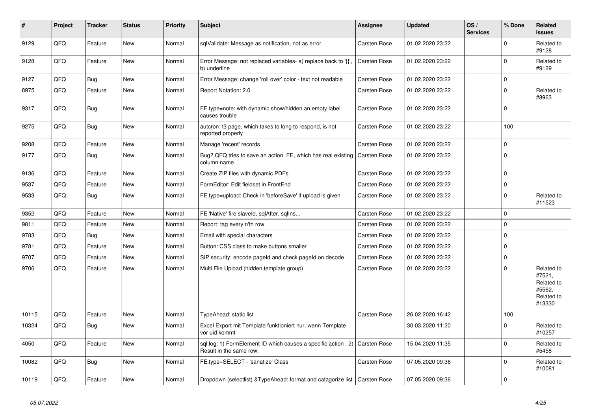| #     | Project | <b>Tracker</b> | <b>Status</b> | <b>Priority</b> | <b>Subject</b>                                                                           | Assignee            | <b>Updated</b>   | OS/<br><b>Services</b> | % Done         | Related<br>issues                                                    |
|-------|---------|----------------|---------------|-----------------|------------------------------------------------------------------------------------------|---------------------|------------------|------------------------|----------------|----------------------------------------------------------------------|
| 9129  | QFQ     | Feature        | <b>New</b>    | Normal          | sqlValidate: Message as notification, not as error                                       | Carsten Rose        | 01.02.2020 23:22 |                        | $\Omega$       | Related to<br>#9128                                                  |
| 9128  | QFQ     | Feature        | <b>New</b>    | Normal          | Error Message: not replaced variables- a) replace back to '{',<br>b) underline           | Carsten Rose        | 01.02.2020 23:22 |                        | $\Omega$       | Related to<br>#9129                                                  |
| 9127  | QFQ     | <b>Bug</b>     | <b>New</b>    | Normal          | Error Message: change 'roll over' color - text not readable                              | Carsten Rose        | 01.02.2020 23:22 |                        | $\Omega$       |                                                                      |
| 8975  | QFQ     | Feature        | <b>New</b>    | Normal          | Report Notation: 2.0                                                                     | Carsten Rose        | 01.02.2020 23:22 |                        | $\Omega$       | Related to<br>#8963                                                  |
| 9317  | QFQ     | Bug            | New           | Normal          | FE.type=note: with dynamic show/hidden an empty label<br>causes trouble                  | Carsten Rose        | 01.02.2020 23:22 |                        | $\Omega$       |                                                                      |
| 9275  | QFQ     | Bug            | <b>New</b>    | Normal          | autcron: t3 page, which takes to long to respond, is not<br>reported properly            | Carsten Rose        | 01.02.2020 23:22 |                        | 100            |                                                                      |
| 9208  | QFQ     | Feature        | <b>New</b>    | Normal          | Manage 'recent' records                                                                  | Carsten Rose        | 01.02.2020 23:22 |                        | $\mathbf 0$    |                                                                      |
| 9177  | QFQ     | Bug            | <b>New</b>    | Normal          | Bug? QFQ tries to save an action FE, which has real existing<br>column name              | <b>Carsten Rose</b> | 01.02.2020 23:22 |                        | $\overline{0}$ |                                                                      |
| 9136  | QFQ     | Feature        | <b>New</b>    | Normal          | Create ZIP files with dynamic PDFs                                                       | Carsten Rose        | 01.02.2020 23:22 |                        | $\mathbf 0$    |                                                                      |
| 9537  | QFQ     | Feature        | New           | Normal          | FormEditor: Edit fieldset in FrontEnd                                                    | Carsten Rose        | 01.02.2020 23:22 |                        | $\mathbf 0$    |                                                                      |
| 9533  | QFQ     | Bug            | <b>New</b>    | Normal          | FE.type=upload: Check in 'beforeSave' if upload is given                                 | Carsten Rose        | 01.02.2020 23:22 |                        | $\mathbf 0$    | Related to<br>#11523                                                 |
| 9352  | QFQ     | Feature        | New           | Normal          | FE 'Native' fire slaveld, sqlAfter, sqllns                                               | Carsten Rose        | 01.02.2020 23:22 |                        | $\Omega$       |                                                                      |
| 9811  | QFQ     | Feature        | New           | Normal          | Report: tag every n'th row                                                               | Carsten Rose        | 01.02.2020 23:22 |                        | $\Omega$       |                                                                      |
| 9783  | QFQ     | <b>Bug</b>     | <b>New</b>    | Normal          | Email with special characters                                                            | Carsten Rose        | 01.02.2020 23:22 |                        | $\mathbf 0$    |                                                                      |
| 9781  | QFQ     | Feature        | New           | Normal          | Button: CSS class to make buttons smaller                                                | Carsten Rose        | 01.02.2020 23:22 |                        | $\Omega$       |                                                                      |
| 9707  | QFQ     | Feature        | New           | Normal          | SIP security: encode pageld and check pageld on decode                                   | Carsten Rose        | 01.02.2020 23:22 |                        | $\Omega$       |                                                                      |
| 9706  | QFQ     | Feature        | New           | Normal          | Multi File Upload (hidden template group)                                                | Carsten Rose        | 01.02.2020 23:22 |                        | $\Omega$       | Related to<br>#7521,<br>Related to<br>#5562,<br>Related to<br>#13330 |
| 10115 | QFQ     | Feature        | <b>New</b>    | Normal          | TypeAhead: static list                                                                   | <b>Carsten Rose</b> | 26.02.2020 16:42 |                        | 100            |                                                                      |
| 10324 | QFQ     | Bug            | <b>New</b>    | Normal          | Excel Export mit Template funktioniert nur, wenn Template<br>vor uid kommt               |                     | 30.03.2020 11:20 |                        | $\Omega$       | Related to<br>#10257                                                 |
| 4050  | QFQ     | Feature        | <b>New</b>    | Normal          | sql.log: 1) FormElement ID which causes a specific action, 2)<br>Result in the same row. | <b>Carsten Rose</b> | 15.04.2020 11:35 |                        | $\Omega$       | Related to<br>#5458                                                  |
| 10082 | QFQ     | Bug            | <b>New</b>    | Normal          | FE.type=SELECT - 'sanatize' Class                                                        | Carsten Rose        | 07.05.2020 09:36 |                        | $\Omega$       | Related to<br>#10081                                                 |
| 10119 | QFQ     | Feature        | <b>New</b>    | Normal          | Dropdown (selectlist) & TypeAhead: format and catagorize list   Carsten Rose             |                     | 07.05.2020 09:36 |                        | $\Omega$       |                                                                      |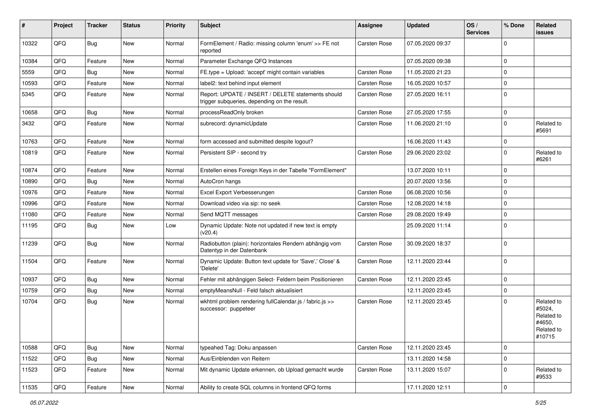| #     | Project | <b>Tracker</b> | <b>Status</b> | <b>Priority</b> | Subject                                                                                            | <b>Assignee</b> | <b>Updated</b>   | OS/<br><b>Services</b> | % Done       | Related<br>issues                                                    |
|-------|---------|----------------|---------------|-----------------|----------------------------------------------------------------------------------------------------|-----------------|------------------|------------------------|--------------|----------------------------------------------------------------------|
| 10322 | QFQ     | Bug            | <b>New</b>    | Normal          | FormElement / Radio: missing column 'enum' >> FE not<br>reported                                   | Carsten Rose    | 07.05.2020 09:37 |                        | <sup>0</sup> |                                                                      |
| 10384 | QFQ     | Feature        | New           | Normal          | Parameter Exchange QFQ Instances                                                                   |                 | 07.05.2020 09:38 |                        | 0            |                                                                      |
| 5559  | QFQ     | Bug            | New           | Normal          | FE.type = Upload: 'accept' might contain variables                                                 | Carsten Rose    | 11.05.2020 21:23 |                        | 0            |                                                                      |
| 10593 | QFQ     | Feature        | <b>New</b>    | Normal          | label2: text behind input element                                                                  | Carsten Rose    | 16.05.2020 10:57 |                        | 0            |                                                                      |
| 5345  | QFQ     | Feature        | New           | Normal          | Report: UPDATE / INSERT / DELETE statements should<br>trigger subqueries, depending on the result. | Carsten Rose    | 27.05.2020 16:11 |                        | $\Omega$     |                                                                      |
| 10658 | QFQ     | Bug            | <b>New</b>    | Normal          | processReadOnly broken                                                                             | Carsten Rose    | 27.05.2020 17:55 |                        | 0            |                                                                      |
| 3432  | QFQ     | Feature        | <b>New</b>    | Normal          | subrecord: dynamicUpdate                                                                           | Carsten Rose    | 11.06.2020 21:10 |                        | 0            | Related to<br>#5691                                                  |
| 10763 | QFQ     | Feature        | <b>New</b>    | Normal          | form accessed and submitted despite logout?                                                        |                 | 16.06.2020 11:43 |                        | 0            |                                                                      |
| 10819 | QFQ     | Feature        | <b>New</b>    | Normal          | Persistent SIP - second try                                                                        | Carsten Rose    | 29.06.2020 23:02 |                        | 0            | Related to<br>#6261                                                  |
| 10874 | QFQ     | Feature        | New           | Normal          | Erstellen eines Foreign Keys in der Tabelle "FormElement"                                          |                 | 13.07.2020 10:11 |                        | $\Omega$     |                                                                      |
| 10890 | QFQ     | Bug            | <b>New</b>    | Normal          | AutoCron hangs                                                                                     |                 | 20.07.2020 13:56 |                        | $\mathbf 0$  |                                                                      |
| 10976 | QFQ     | Feature        | New           | Normal          | Excel Export Verbesserungen                                                                        | Carsten Rose    | 06.08.2020 10:56 |                        | 0            |                                                                      |
| 10996 | QFQ     | Feature        | New           | Normal          | Download video via sip: no seek                                                                    | Carsten Rose    | 12.08.2020 14:18 |                        | 0            |                                                                      |
| 11080 | QFQ     | Feature        | New           | Normal          | Send MQTT messages                                                                                 | Carsten Rose    | 29.08.2020 19:49 |                        | 0            |                                                                      |
| 11195 | QFQ     | Bug            | New           | Low             | Dynamic Update: Note not updated if new text is empty<br>(v20.4)                                   |                 | 25.09.2020 11:14 |                        | $\Omega$     |                                                                      |
| 11239 | QFQ     | Bug            | <b>New</b>    | Normal          | Radiobutton (plain): horizontales Rendern abhängig vom<br>Datentyp in der Datenbank                | Carsten Rose    | 30.09.2020 18:37 |                        | 0            |                                                                      |
| 11504 | QFQ     | Feature        | <b>New</b>    | Normal          | Dynamic Update: Button text update for 'Save',' Close' &<br>'Delete'                               | Carsten Rose    | 12.11.2020 23:44 |                        | $\mathbf 0$  |                                                                      |
| 10937 | QFQ     | <b>Bug</b>     | <b>New</b>    | Normal          | Fehler mit abhängigen Select- Feldern beim Positionieren                                           | Carsten Rose    | 12.11.2020 23:45 |                        | 0            |                                                                      |
| 10759 | QFQ     | <b>Bug</b>     | <b>New</b>    | Normal          | emptyMeansNull - Feld falsch aktualisiert                                                          |                 | 12.11.2020 23:45 |                        | $\mathbf 0$  |                                                                      |
| 10704 | QFQ     | Bug            | New           | Normal          | wkhtml problem rendering fullCalendar.js / fabric.js >><br>successor: puppeteer                    | Carsten Rose    | 12.11.2020 23:45 |                        | 0            | Related to<br>#5024,<br>Related to<br>#4650,<br>Related to<br>#10715 |
| 10588 | QFQ     | Bug            | <b>New</b>    | Normal          | typeahed Tag: Doku anpassen                                                                        | Carsten Rose    | 12.11.2020 23:45 |                        | 0            |                                                                      |
| 11522 | QFQ     | Bug            | New           | Normal          | Aus/Einblenden von Reitern                                                                         |                 | 13.11.2020 14:58 |                        | 0            |                                                                      |
| 11523 | QFQ     | Feature        | New           | Normal          | Mit dynamic Update erkennen, ob Upload gemacht wurde                                               | Carsten Rose    | 13.11.2020 15:07 |                        | 0            | Related to<br>#9533                                                  |
| 11535 | QFQ     | Feature        | New           | Normal          | Ability to create SQL columns in frontend QFQ forms                                                |                 | 17.11.2020 12:11 |                        | $\mathbf 0$  |                                                                      |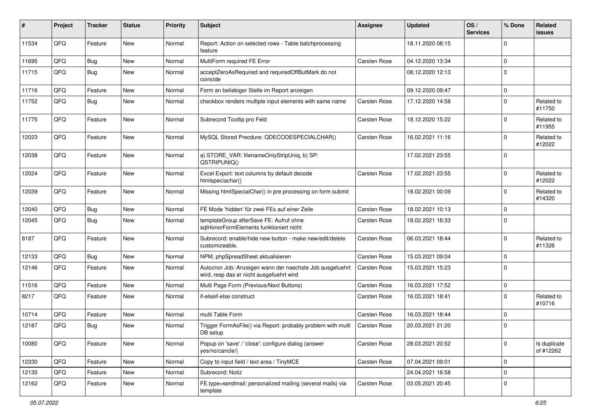| #     | Project | <b>Tracker</b> | <b>Status</b> | <b>Priority</b> | <b>Subject</b>                                                                                       | <b>Assignee</b>     | <b>Updated</b>   | OS/<br><b>Services</b> | % Done      | Related<br>issues         |
|-------|---------|----------------|---------------|-----------------|------------------------------------------------------------------------------------------------------|---------------------|------------------|------------------------|-------------|---------------------------|
| 11534 | QFQ     | Feature        | New           | Normal          | Report: Action on selected rows - Table batchprocessing<br>feature                                   |                     | 18.11.2020 08:15 |                        | $\Omega$    |                           |
| 11695 | QFQ     | <b>Bug</b>     | New           | Normal          | MultiForm required FE Error                                                                          | Carsten Rose        | 04.12.2020 13:34 |                        | $\Omega$    |                           |
| 11715 | QFQ     | Bug            | New           | Normal          | acceptZeroAsRequired and requiredOffButMark do not<br>coincide                                       |                     | 08.12.2020 12:13 |                        | $\Omega$    |                           |
| 11716 | QFQ     | Feature        | New           | Normal          | Form an beliebiger Stelle im Report anzeigen                                                         |                     | 09.12.2020 09:47 |                        | $\mathbf 0$ |                           |
| 11752 | QFQ     | <b>Bug</b>     | New           | Normal          | checkbox renders multiple input elements with same name                                              | Carsten Rose        | 17.12.2020 14:58 |                        | $\mathbf 0$ | Related to<br>#11750      |
| 11775 | QFQ     | Feature        | <b>New</b>    | Normal          | Subrecord Tooltip pro Feld                                                                           | Carsten Rose        | 18.12.2020 15:22 |                        | $\Omega$    | Related to<br>#11955      |
| 12023 | QFQ     | Feature        | <b>New</b>    | Normal          | MySQL Stored Precdure: QDECODESPECIALCHAR()                                                          | Carsten Rose        | 16.02.2021 11:16 |                        | $\Omega$    | Related to<br>#12022      |
| 12038 | QFQ     | Feature        | New           | Normal          | a) STORE_VAR: filenameOnlyStripUniq, b) SP:<br>QSTRIPUNIQ()                                          |                     | 17.02.2021 23:55 |                        | $\Omega$    |                           |
| 12024 | QFQ     | Feature        | New           | Normal          | Excel Export: text columns by default decode<br>htmlspeciachar()                                     | <b>Carsten Rose</b> | 17.02.2021 23:55 |                        | $\Omega$    | Related to<br>#12022      |
| 12039 | QFQ     | Feature        | New           | Normal          | Missing htmlSpecialChar() in pre processing on form submit                                           |                     | 18.02.2021 00:09 |                        | $\Omega$    | Related to<br>#14320      |
| 12040 | QFQ     | Bug            | New           | Normal          | FE Mode 'hidden' für zwei FEs auf einer Zeile                                                        | Carsten Rose        | 18.02.2021 10:13 |                        | $\Omega$    |                           |
| 12045 | QFQ     | Bug            | New           | Normal          | templateGroup afterSave FE: Aufruf ohne<br>sqlHonorFormElements funktioniert nicht                   | Carsten Rose        | 18.02.2021 16:33 |                        | $\mathbf 0$ |                           |
| 8187  | QFQ     | Feature        | New           | Normal          | Subrecord: enable/hide new button - make new/edit/delete<br>customizeable.                           | Carsten Rose        | 06.03.2021 18:44 |                        | $\Omega$    | Related to<br>#11326      |
| 12133 | QFQ     | Bug            | New           | Normal          | NPM, phpSpreadSheet aktualisieren                                                                    | Carsten Rose        | 15.03.2021 09:04 |                        | $\mathbf 0$ |                           |
| 12146 | QFQ     | Feature        | New           | Normal          | Autocron Job: Anzeigen wann der naechste Job ausgefuehrt<br>wird, resp das er nicht ausgefuehrt wird | Carsten Rose        | 15.03.2021 15:23 |                        | $\Omega$    |                           |
| 11516 | QFQ     | Feature        | New           | Normal          | Multi Page Form (Previous/Next Buttons)                                                              | Carsten Rose        | 16.03.2021 17:52 |                        | $\Omega$    |                           |
| 8217  | QFQ     | Feature        | New           | Normal          | if-elseif-else construct                                                                             | Carsten Rose        | 16.03.2021 18:41 |                        | $\Omega$    | Related to<br>#10716      |
| 10714 | QFQ     | Feature        | New           | Normal          | multi Table Form                                                                                     | Carsten Rose        | 16.03.2021 18:44 |                        | $\Omega$    |                           |
| 12187 | QFQ     | Bug            | New           | Normal          | Trigger FormAsFile() via Report: probably problem with multi<br>DB setup                             | Carsten Rose        | 20.03.2021 21:20 |                        | $\Omega$    |                           |
| 10080 | QFQ     | Feature        | New           | Normal          | Popup on 'save' / 'close': configure dialog (answer<br>yes/no/cancle/)                               | Carsten Rose        | 28.03.2021 20:52 |                        | $\mathbf 0$ | Is duplicate<br>of #12262 |
| 12330 | QFQ     | Feature        | New           | Normal          | Copy to input field / text area / TinyMCE                                                            | Carsten Rose        | 07.04.2021 09:01 |                        | $\mathbf 0$ |                           |
| 12135 | QFQ     | Feature        | New           | Normal          | Subrecord: Notiz                                                                                     |                     | 24.04.2021 16:58 |                        | $\mathbf 0$ |                           |
| 12162 | QFQ     | Feature        | New           | Normal          | FE.type=sendmail: personalized mailing (several mails) via<br>template                               | Carsten Rose        | 03.05.2021 20:45 |                        | $\mathbf 0$ |                           |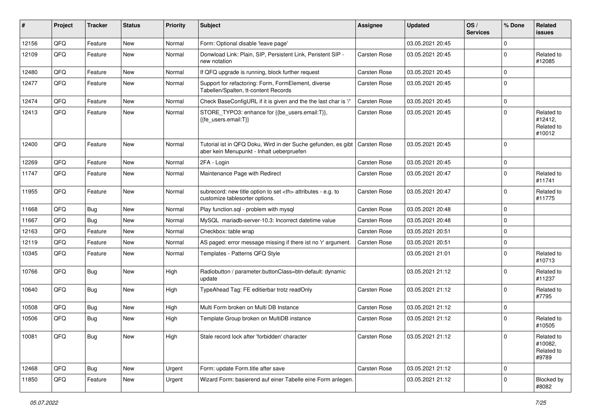| #     | Project    | <b>Tracker</b> | <b>Status</b> | <b>Priority</b> | Subject                                                                                                    | <b>Assignee</b>                                        | <b>Updated</b>   | OS/<br><b>Services</b> | % Done      | Related<br>issues                             |                      |
|-------|------------|----------------|---------------|-----------------|------------------------------------------------------------------------------------------------------------|--------------------------------------------------------|------------------|------------------------|-------------|-----------------------------------------------|----------------------|
| 12156 | QFQ        | Feature        | <b>New</b>    | Normal          | Form: Optional disable 'leave page'                                                                        |                                                        | 03.05.2021 20:45 |                        | $\Omega$    |                                               |                      |
| 12109 | QFQ        | Feature        | New           | Normal          | Donwload Link: Plain, SIP, Persistent Link, Peristent SIP -<br>new notation                                | Carsten Rose                                           | 03.05.2021 20:45 |                        | $\mathbf 0$ | Related to<br>#12085                          |                      |
| 12480 | QFQ        | Feature        | <b>New</b>    | Normal          | If QFQ upgrade is running, block further request                                                           | Carsten Rose                                           | 03.05.2021 20:45 |                        | $\Omega$    |                                               |                      |
| 12477 | QFQ        | Feature        | New           | Normal          | Support for refactoring: Form, FormElement, diverse<br>Tabellen/Spalten, tt-content Records                | Carsten Rose                                           | 03.05.2021 20:45 |                        | $\Omega$    |                                               |                      |
| 12474 | QFQ        | Feature        | New           | Normal          | Check BaseConfigURL if it is given and the the last char is '/'                                            | Carsten Rose                                           | 03.05.2021 20:45 |                        | $\mathbf 0$ |                                               |                      |
| 12413 | QFQ        | Feature        | New           | Normal          | STORE_TYPO3: enhance for {{be_users.email:T}},<br>{{fe users.email:T}}                                     | Carsten Rose                                           | 03.05.2021 20:45 |                        | $\Omega$    | Related to<br>#12412,<br>Related to<br>#10012 |                      |
| 12400 | QFQ        | Feature        | New           | Normal          | Tutorial ist in QFQ Doku, Wird in der Suche gefunden, es gibt<br>aber kein Menupunkt - Inhalt ueberpruefen | Carsten Rose                                           | 03.05.2021 20:45 |                        | $\mathbf 0$ |                                               |                      |
| 12269 | QFQ        | Feature        | <b>New</b>    | Normal          | 2FA - Login                                                                                                | Carsten Rose                                           | 03.05.2021 20:45 |                        | $\mathbf 0$ |                                               |                      |
| 11747 | QFQ        | Feature        | <b>New</b>    | Normal          | Maintenance Page with Redirect                                                                             | Carsten Rose                                           | 03.05.2021 20:47 |                        | $\Omega$    | Related to<br>#11741                          |                      |
| 11955 | QFQ        | Feature        | <b>New</b>    | Normal          | subrecord: new title option to set <th> attributes - e.g. to<br/>customize tablesorter options.</th>       | attributes - e.g. to<br>customize tablesorter options. | Carsten Rose     | 03.05.2021 20:47       |             | $\Omega$                                      | Related to<br>#11775 |
| 11668 | QFQ        | <b>Bug</b>     | <b>New</b>    | Normal          | Play function.sql - problem with mysql                                                                     | Carsten Rose                                           | 03.05.2021 20:48 |                        | $\Omega$    |                                               |                      |
| 11667 | QFQ        | <b>Bug</b>     | <b>New</b>    | Normal          | MySQL mariadb-server-10.3: Incorrect datetime value                                                        | Carsten Rose                                           | 03.05.2021 20:48 |                        | $\mathbf 0$ |                                               |                      |
| 12163 | QFQ        | Feature        | New           | Normal          | Checkbox: table wrap                                                                                       | Carsten Rose                                           | 03.05.2021 20:51 |                        | $\mathbf 0$ |                                               |                      |
| 12119 | QFQ        | Feature        | New           | Normal          | AS paged: error message missing if there ist no 'r' argument.                                              | Carsten Rose                                           | 03.05.2021 20:51 |                        | $\mathbf 0$ |                                               |                      |
| 10345 | QFQ        | Feature        | New           | Normal          | Templates - Patterns QFQ Style                                                                             |                                                        | 03.05.2021 21:01 |                        | $\Omega$    | Related to<br>#10713                          |                      |
| 10766 | QFQ        | Bug            | New           | High            | Radiobutton / parameter.buttonClass=btn-default: dynamic<br>update                                         |                                                        | 03.05.2021 21:12 |                        | $\mathbf 0$ | Related to<br>#11237                          |                      |
| 10640 | QFQ        | Bug            | <b>New</b>    | High            | TypeAhead Tag: FE editierbar trotz readOnly                                                                | Carsten Rose                                           | 03.05.2021 21:12 |                        | $\Omega$    | Related to<br>#7795                           |                      |
| 10508 | QFQ        | <b>Bug</b>     | New           | High            | Multi Form broken on Multi DB Instance                                                                     | Carsten Rose                                           | 03.05.2021 21:12 |                        | $\mathbf 0$ |                                               |                      |
| 10506 | QFQ        | Bug            | New           | High            | Template Group broken on MultiDB instance                                                                  | Carsten Rose                                           | 03.05.2021 21:12 |                        | $\Omega$    | Related to<br>#10505                          |                      |
| 10081 | <b>QFQ</b> | <b>Bug</b>     | New           | High            | Stale record lock after 'forbidden' character                                                              | Carsten Rose                                           | 03.05.2021 21:12 |                        | l 0         | Related to<br>#10082,<br>Related to<br>#9789  |                      |
| 12468 | QFQ        | Bug            | New           | Urgent          | Form: update Form.title after save                                                                         | Carsten Rose                                           | 03.05.2021 21:12 |                        | $\Omega$    |                                               |                      |
| 11850 | QFQ        | Feature        | New           | Urgent          | Wizard Form: basierend auf einer Tabelle eine Form anlegen.                                                |                                                        | 03.05.2021 21:12 |                        | $\mathbf 0$ | <b>Blocked by</b><br>#8082                    |                      |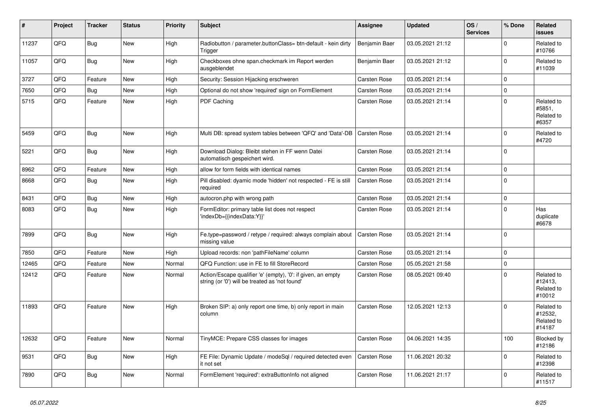| #     | Project | <b>Tracker</b> | <b>Status</b> | <b>Priority</b> | <b>Subject</b>                                                                                                 | <b>Assignee</b>     | <b>Updated</b>   | OS/<br><b>Services</b> | % Done      | Related<br><b>issues</b>                      |
|-------|---------|----------------|---------------|-----------------|----------------------------------------------------------------------------------------------------------------|---------------------|------------------|------------------------|-------------|-----------------------------------------------|
| 11237 | QFQ     | Bug            | <b>New</b>    | High            | Radiobutton / parameter.buttonClass= btn-default - kein dirty<br>Trigger                                       | Benjamin Baer       | 03.05.2021 21:12 |                        | $\mathbf 0$ | Related to<br>#10766                          |
| 11057 | QFQ     | Bug            | <b>New</b>    | High            | Checkboxes ohne span.checkmark im Report werden<br>ausgeblendet                                                | Benjamin Baer       | 03.05.2021 21:12 |                        | $\Omega$    | Related to<br>#11039                          |
| 3727  | QFQ     | Feature        | <b>New</b>    | High            | Security: Session Hijacking erschweren                                                                         | Carsten Rose        | 03.05.2021 21:14 |                        | $\mathbf 0$ |                                               |
| 7650  | QFQ     | <b>Bug</b>     | <b>New</b>    | High            | Optional do not show 'required' sign on FormElement                                                            | <b>Carsten Rose</b> | 03.05.2021 21:14 |                        | $\mathbf 0$ |                                               |
| 5715  | QFQ     | Feature        | <b>New</b>    | High            | PDF Caching                                                                                                    | Carsten Rose        | 03.05.2021 21:14 |                        | $\mathbf 0$ | Related to<br>#5851,<br>Related to<br>#6357   |
| 5459  | QFQ     | Bug            | <b>New</b>    | High            | Multi DB: spread system tables between 'QFQ' and 'Data'-DB                                                     | Carsten Rose        | 03.05.2021 21:14 |                        | $\mathbf 0$ | Related to<br>#4720                           |
| 5221  | QFQ     | Bug            | New           | High            | Download Dialog: Bleibt stehen in FF wenn Datei<br>automatisch gespeichert wird.                               | Carsten Rose        | 03.05.2021 21:14 |                        | $\Omega$    |                                               |
| 8962  | QFQ     | Feature        | <b>New</b>    | High            | allow for form fields with identical names                                                                     | <b>Carsten Rose</b> | 03.05.2021 21:14 |                        | $\mathbf 0$ |                                               |
| 8668  | QFQ     | <b>Bug</b>     | New           | High            | Pill disabled: dyamic mode 'hidden' not respected - FE is still<br>required                                    | <b>Carsten Rose</b> | 03.05.2021 21:14 |                        | $\mathbf 0$ |                                               |
| 8431  | QFQ     | <b>Bug</b>     | <b>New</b>    | High            | autocron.php with wrong path                                                                                   | <b>Carsten Rose</b> | 03.05.2021 21:14 |                        | $\mathsf 0$ |                                               |
| 8083  | QFQ     | Bug            | <b>New</b>    | High            | FormEditor: primary table list does not respect<br>'indexDb={{indexData:Y}}'                                   | Carsten Rose        | 03.05.2021 21:14 |                        | $\Omega$    | Has<br>duplicate<br>#6678                     |
| 7899  | QFQ     | Bug            | <b>New</b>    | High            | Fe.type=password / retype / required: always complain about<br>missing value                                   | Carsten Rose        | 03.05.2021 21:14 |                        | $\mathbf 0$ |                                               |
| 7850  | QFQ     | Feature        | <b>New</b>    | High            | Upload records: non 'pathFileName' column                                                                      | <b>Carsten Rose</b> | 03.05.2021 21:14 |                        | $\mathbf 0$ |                                               |
| 12465 | QFQ     | Feature        | <b>New</b>    | Normal          | QFQ Function: use in FE to fill StoreRecord                                                                    | <b>Carsten Rose</b> | 05.05.2021 21:58 |                        | $\mathbf 0$ |                                               |
| 12412 | QFQ     | Feature        | New           | Normal          | Action/Escape qualifier 'e' (empty), '0': if given, an empty<br>string (or '0') will be treated as 'not found' | Carsten Rose        | 08.05.2021 09:40 |                        | $\Omega$    | Related to<br>#12413,<br>Related to<br>#10012 |
| 11893 | QFQ     | Feature        | <b>New</b>    | High            | Broken SIP: a) only report one time, b) only report in main<br>column                                          | Carsten Rose        | 12.05.2021 12:13 |                        | $\Omega$    | Related to<br>#12532,<br>Related to<br>#14187 |
| 12632 | QFQ     | Feature        | <b>New</b>    | Normal          | TinyMCE: Prepare CSS classes for images                                                                        | Carsten Rose        | 04.06.2021 14:35 |                        | 100         | Blocked by<br>#12186                          |
| 9531  | QFQ     | Bug            | <b>New</b>    | High            | FE File: Dynamic Update / modeSgl / required detected even<br>it not set                                       | <b>Carsten Rose</b> | 11.06.2021 20:32 |                        | $\mathbf 0$ | Related to<br>#12398                          |
| 7890  | QFQ     | Bug            | <b>New</b>    | Normal          | FormElement 'required': extraButtonInfo not aligned                                                            | Carsten Rose        | 11.06.2021 21:17 |                        | $\mathbf 0$ | Related to<br>#11517                          |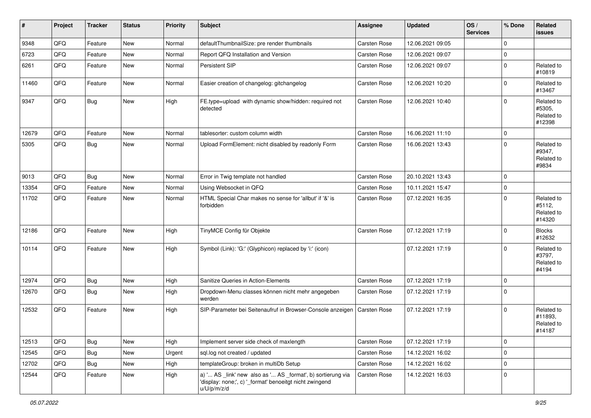| $\vert$ # | Project | <b>Tracker</b> | <b>Status</b> | <b>Priority</b> | <b>Subject</b>                                                                                                                        | <b>Assignee</b>     | <b>Updated</b>   | OS/<br><b>Services</b> | % Done      | Related<br>issues                             |
|-----------|---------|----------------|---------------|-----------------|---------------------------------------------------------------------------------------------------------------------------------------|---------------------|------------------|------------------------|-------------|-----------------------------------------------|
| 9348      | QFQ     | Feature        | <b>New</b>    | Normal          | defaultThumbnailSize: pre render thumbnails                                                                                           | Carsten Rose        | 12.06.2021 09:05 |                        | $\mathbf 0$ |                                               |
| 6723      | QFQ     | Feature        | <b>New</b>    | Normal          | Report QFQ Installation and Version                                                                                                   | Carsten Rose        | 12.06.2021 09:07 |                        | $\mathbf 0$ |                                               |
| 6261      | QFQ     | Feature        | New           | Normal          | Persistent SIP                                                                                                                        | Carsten Rose        | 12.06.2021 09:07 |                        | $\mathbf 0$ | Related to<br>#10819                          |
| 11460     | QFQ     | Feature        | <b>New</b>    | Normal          | Easier creation of changelog: gitchangelog                                                                                            | Carsten Rose        | 12.06.2021 10:20 |                        | $\mathbf 0$ | Related to<br>#13467                          |
| 9347      | QFQ     | <b>Bug</b>     | New           | High            | FE.type=upload with dynamic show/hidden: required not<br>detected                                                                     | <b>Carsten Rose</b> | 12.06.2021 10:40 |                        | $\mathbf 0$ | Related to<br>#5305,<br>Related to<br>#12398  |
| 12679     | QFQ     | Feature        | New           | Normal          | tablesorter: custom column width                                                                                                      | Carsten Rose        | 16.06.2021 11:10 |                        | $\mathbf 0$ |                                               |
| 5305      | QFQ     | <b>Bug</b>     | New           | Normal          | Upload FormElement: nicht disabled by readonly Form                                                                                   | Carsten Rose        | 16.06.2021 13:43 |                        | $\mathbf 0$ | Related to<br>#9347,<br>Related to<br>#9834   |
| 9013      | QFQ     | <b>Bug</b>     | <b>New</b>    | Normal          | Error in Twig template not handled                                                                                                    | Carsten Rose        | 20.10.2021 13:43 |                        | $\mathbf 0$ |                                               |
| 13354     | QFQ     | Feature        | New           | Normal          | Using Websocket in QFQ                                                                                                                | Carsten Rose        | 10.11.2021 15:47 |                        | $\mathbf 0$ |                                               |
| 11702     | QFQ     | Feature        | <b>New</b>    | Normal          | HTML Special Char makes no sense for 'allbut' if '&' is<br>forbidden                                                                  | Carsten Rose        | 07.12.2021 16:35 |                        | $\mathbf 0$ | Related to<br>#5112,<br>Related to<br>#14320  |
| 12186     | QFQ     | Feature        | <b>New</b>    | High            | TinyMCE Config für Objekte                                                                                                            | Carsten Rose        | 07.12.2021 17:19 |                        | $\mathbf 0$ | <b>Blocks</b><br>#12632                       |
| 10114     | QFQ     | Feature        | New           | High            | Symbol (Link): 'G:' (Glyphicon) replaced by 'i:' (icon)                                                                               |                     | 07.12.2021 17:19 |                        | $\mathbf 0$ | Related to<br>#3797,<br>Related to<br>#4194   |
| 12974     | QFQ     | Bug            | New           | High            | Sanitize Queries in Action-Elements                                                                                                   | Carsten Rose        | 07.12.2021 17:19 |                        | $\mathbf 0$ |                                               |
| 12670     | QFQ     | Bug            | New           | High            | Dropdown-Menu classes können nicht mehr angegeben<br>werden                                                                           | Carsten Rose        | 07.12.2021 17:19 |                        | $\mathbf 0$ |                                               |
| 12532     | QFQ     | Feature        | <b>New</b>    | High            | SIP-Parameter bei Seitenaufruf in Browser-Console anzeigen                                                                            | Carsten Rose        | 07.12.2021 17:19 |                        | $\mathbf 0$ | Related to<br>#11893,<br>Related to<br>#14187 |
| 12513     | QFQ     | Bug            | New           | High            | Implement server side check of maxlength                                                                                              | Carsten Rose        | 07.12.2021 17:19 |                        | $\mathbf 0$ |                                               |
| 12545     | QFQ     | Bug            | New           | Urgent          | sql.log not created / updated                                                                                                         | Carsten Rose        | 14.12.2021 16:02 |                        | $\mathbf 0$ |                                               |
| 12702     | QFQ     | <b>Bug</b>     | <b>New</b>    | High            | templateGroup: broken in multiDb Setup                                                                                                | Carsten Rose        | 14.12.2021 16:02 |                        | $\mathbf 0$ |                                               |
| 12544     | QFQ     | Feature        | New           | High            | a) ' AS _link' new also as ' AS _format', b) sortierung via<br>'display: none;', c) '_format' benoeitgt nicht zwingend<br>u/U/p/m/z/d | Carsten Rose        | 14.12.2021 16:03 |                        | $\mathsf 0$ |                                               |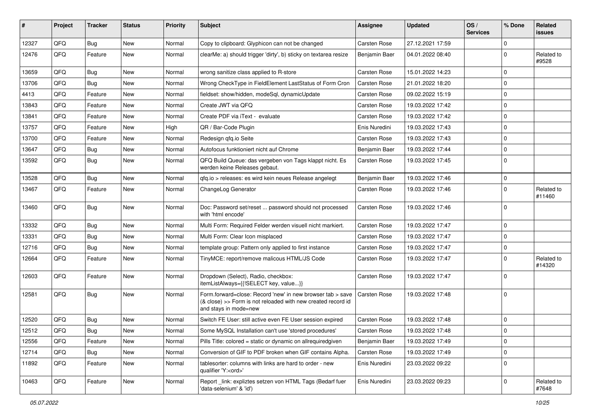| ∦     | Project | <b>Tracker</b> | <b>Status</b> | <b>Priority</b> | Subject                                                                                                                                             | Assignee      | <b>Updated</b>   | OS/<br><b>Services</b> | % Done         | Related<br>issues    |
|-------|---------|----------------|---------------|-----------------|-----------------------------------------------------------------------------------------------------------------------------------------------------|---------------|------------------|------------------------|----------------|----------------------|
| 12327 | QFQ     | Bug            | <b>New</b>    | Normal          | Copy to clipboard: Glyphicon can not be changed                                                                                                     | Carsten Rose  | 27.12.2021 17:59 |                        | $\mathbf 0$    |                      |
| 12476 | QFQ     | Feature        | <b>New</b>    | Normal          | clearMe: a) should trigger 'dirty', b) sticky on textarea resize                                                                                    | Benjamin Baer | 04.01.2022 08:40 |                        | $\Omega$       | Related to<br>#9528  |
| 13659 | QFQ     | Bug            | <b>New</b>    | Normal          | wrong sanitize class applied to R-store                                                                                                             | Carsten Rose  | 15.01.2022 14:23 |                        | $\mathbf 0$    |                      |
| 13706 | QFQ     | <b>Bug</b>     | <b>New</b>    | Normal          | Wrong CheckType in FieldElement LastStatus of Form Cron                                                                                             | Carsten Rose  | 21.01.2022 18:20 |                        | $\Omega$       |                      |
| 4413  | QFQ     | Feature        | <b>New</b>    | Normal          | fieldset: show/hidden, modeSql, dynamicUpdate                                                                                                       | Carsten Rose  | 09.02.2022 15:19 |                        | $\Omega$       |                      |
| 13843 | QFQ     | Feature        | New           | Normal          | Create JWT via QFQ                                                                                                                                  | Carsten Rose  | 19.03.2022 17:42 |                        | $\mathbf 0$    |                      |
| 13841 | QFQ     | Feature        | <b>New</b>    | Normal          | Create PDF via iText - evaluate                                                                                                                     | Carsten Rose  | 19.03.2022 17:42 |                        | $\Omega$       |                      |
| 13757 | QFQ     | Feature        | <b>New</b>    | High            | QR / Bar-Code Plugin                                                                                                                                | Enis Nuredini | 19.03.2022 17:43 |                        | $\mathbf 0$    |                      |
| 13700 | QFQ     | Feature        | <b>New</b>    | Normal          | Redesign gfg.io Seite                                                                                                                               | Carsten Rose  | 19.03.2022 17:43 |                        | $\Omega$       |                      |
| 13647 | QFQ     | <b>Bug</b>     | <b>New</b>    | Normal          | Autofocus funktioniert nicht auf Chrome                                                                                                             | Benjamin Baer | 19.03.2022 17:44 |                        | $\Omega$       |                      |
| 13592 | QFQ     | Bug            | New           | Normal          | QFQ Build Queue: das vergeben von Tags klappt nicht. Es<br>werden keine Releases gebaut.                                                            | Carsten Rose  | 19.03.2022 17:45 |                        | $\Omega$       |                      |
| 13528 | QFQ     | Bug            | <b>New</b>    | Normal          | gfg.io > releases: es wird kein neues Release angelegt                                                                                              | Benjamin Baer | 19.03.2022 17:46 |                        | $\mathbf 0$    |                      |
| 13467 | QFQ     | Feature        | New           | Normal          | ChangeLog Generator                                                                                                                                 | Carsten Rose  | 19.03.2022 17:46 |                        | $\Omega$       | Related to<br>#11460 |
| 13460 | QFQ     | <b>Bug</b>     | <b>New</b>    | Normal          | Doc: Password set/reset  password should not processed<br>with 'html encode'                                                                        | Carsten Rose  | 19.03.2022 17:46 |                        | $\Omega$       |                      |
| 13332 | QFQ     | Bug            | <b>New</b>    | Normal          | Multi Form: Required Felder werden visuell nicht markiert.                                                                                          | Carsten Rose  | 19.03.2022 17:47 |                        | $\mathbf 0$    |                      |
| 13331 | QFQ     | Bug            | New           | Normal          | Multi Form: Clear Icon misplaced                                                                                                                    | Carsten Rose  | 19.03.2022 17:47 |                        | $\Omega$       |                      |
| 12716 | QFQ     | <b>Bug</b>     | <b>New</b>    | Normal          | template group: Pattern only applied to first instance                                                                                              | Carsten Rose  | 19.03.2022 17:47 |                        | $\mathbf 0$    |                      |
| 12664 | QFQ     | Feature        | <b>New</b>    | Normal          | TinyMCE: report/remove malicous HTML/JS Code                                                                                                        | Carsten Rose  | 19.03.2022 17:47 |                        | $\Omega$       | Related to<br>#14320 |
| 12603 | QFQ     | Feature        | <b>New</b>    | Normal          | Dropdown (Select), Radio, checkbox:<br>itemListAlways={{!SELECT key, value}}                                                                        | Carsten Rose  | 19.03.2022 17:47 |                        | $\Omega$       |                      |
| 12581 | QFQ     | Bug            | <b>New</b>    | Normal          | Form.forward=close: Record 'new' in new browser tab > save<br>(& close) >> Form is not reloaded with new created record id<br>and stays in mode=new | Carsten Rose  | 19.03.2022 17:48 |                        | $\overline{0}$ |                      |
| 12520 | QFQ     | Bug            | <b>New</b>    | Normal          | Switch FE User: still active even FE User session expired                                                                                           | Carsten Rose  | 19.03.2022 17:48 |                        | $\mathbf 0$    |                      |
| 12512 | QFQ     | Bug            | New           | Normal          | Some MySQL Installation can't use 'stored procedures'                                                                                               | Carsten Rose  | 19.03.2022 17:48 |                        | $\overline{0}$ |                      |
| 12556 | QFQ     | Feature        | New           | Normal          | Pills Title: colored = static or dynamic on allrequiredgiven                                                                                        | Benjamin Baer | 19.03.2022 17:49 |                        | $\overline{0}$ |                      |
| 12714 | QFQ     | Bug            | New           | Normal          | Conversion of GIF to PDF broken when GIF contains Alpha.                                                                                            | Carsten Rose  | 19.03.2022 17:49 |                        | $\mathbf 0$    |                      |
| 11892 | QFQ     | Feature        | New           | Normal          | tablesorter: columns with links are hard to order - new<br>qualifier 'Y: <ord>'</ord>                                                               | Enis Nuredini | 23.03.2022 09:22 |                        | $\Omega$       |                      |
| 10463 | QFQ     | Feature        | New           | Normal          | Report_link: expliztes setzen von HTML Tags (Bedarf fuer<br>'data-selenium' & 'id')                                                                 | Enis Nuredini | 23.03.2022 09:23 |                        | 0              | Related to<br>#7648  |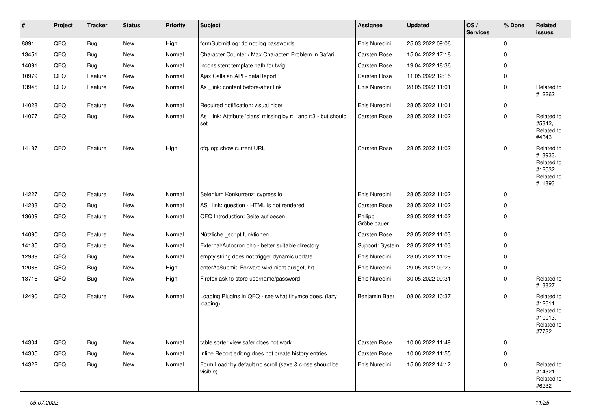| #     | Project | <b>Tracker</b> | <b>Status</b> | <b>Priority</b> | Subject                                                                | Assignee               | <b>Updated</b>   | OS/<br><b>Services</b> | % Done      | Related<br>issues                                                      |
|-------|---------|----------------|---------------|-----------------|------------------------------------------------------------------------|------------------------|------------------|------------------------|-------------|------------------------------------------------------------------------|
| 8891  | QFQ     | Bug            | New           | High            | formSubmitLog: do not log passwords                                    | Enis Nuredini          | 25.03.2022 09:06 |                        | $\mathbf 0$ |                                                                        |
| 13451 | QFQ     | Bug            | New           | Normal          | Character Counter / Max Character: Problem in Safari                   | Carsten Rose           | 15.04.2022 17:18 |                        | $\mathbf 0$ |                                                                        |
| 14091 | QFQ     | <b>Bug</b>     | New           | Normal          | inconsistent template path for twig                                    | Carsten Rose           | 19.04.2022 18:36 |                        | $\mathbf 0$ |                                                                        |
| 10979 | QFQ     | Feature        | <b>New</b>    | Normal          | Ajax Calls an API - dataReport                                         | Carsten Rose           | 11.05.2022 12:15 |                        | $\mathbf 0$ |                                                                        |
| 13945 | QFQ     | Feature        | New           | Normal          | As _link: content before/after link                                    | Enis Nuredini          | 28.05.2022 11:01 |                        | $\mathbf 0$ | Related to<br>#12262                                                   |
| 14028 | QFQ     | Feature        | <b>New</b>    | Normal          | Required notification: visual nicer                                    | Enis Nuredini          | 28.05.2022 11:01 |                        | $\mathbf 0$ |                                                                        |
| 14077 | QFQ     | Bug            | New           | Normal          | As _link: Attribute 'class' missing by r:1 and r:3 - but should<br>set | Carsten Rose           | 28.05.2022 11:02 |                        | $\mathbf 0$ | Related to<br>#5342,<br>Related to<br>#4343                            |
| 14187 | QFQ     | Feature        | <b>New</b>    | High            | qfq.log: show current URL                                              | Carsten Rose           | 28.05.2022 11:02 |                        | $\mathbf 0$ | Related to<br>#13933,<br>Related to<br>#12532,<br>Related to<br>#11893 |
| 14227 | QFQ     | Feature        | <b>New</b>    | Normal          | Selenium Konkurrenz: cypress.io                                        | Enis Nuredini          | 28.05.2022 11:02 |                        | $\mathbf 0$ |                                                                        |
| 14233 | QFQ     | Bug            | <b>New</b>    | Normal          | AS _link: question - HTML is not rendered                              | Carsten Rose           | 28.05.2022 11:02 |                        | $\mathbf 0$ |                                                                        |
| 13609 | QFQ     | Feature        | New           | Normal          | QFQ Introduction: Seite aufloesen                                      | Philipp<br>Gröbelbauer | 28.05.2022 11:02 |                        | $\mathbf 0$ |                                                                        |
| 14090 | QFQ     | Feature        | <b>New</b>    | Normal          | Nützliche_script funktionen                                            | Carsten Rose           | 28.05.2022 11:03 |                        | $\mathbf 0$ |                                                                        |
| 14185 | QFQ     | Feature        | <b>New</b>    | Normal          | External/Autocron.php - better suitable directory                      | Support: System        | 28.05.2022 11:03 |                        | $\mathbf 0$ |                                                                        |
| 12989 | QFQ     | <b>Bug</b>     | New           | Normal          | empty string does not trigger dynamic update                           | Enis Nuredini          | 28.05.2022 11:09 |                        | $\mathbf 0$ |                                                                        |
| 12066 | QFQ     | <b>Bug</b>     | New           | High            | enterAsSubmit: Forward wird nicht ausgeführt                           | Enis Nuredini          | 29.05.2022 09:23 |                        | $\mathbf 0$ |                                                                        |
| 13716 | QFQ     | <b>Bug</b>     | New           | High            | Firefox ask to store username/password                                 | Enis Nuredini          | 30.05.2022 09:31 |                        | $\mathbf 0$ | Related to<br>#13827                                                   |
| 12490 | QFQ     | Feature        | New           | Normal          | Loading Plugins in QFQ - see what tinymce does. (lazy<br>loading)      | Benjamin Baer          | 08.06.2022 10:37 |                        | $\mathbf 0$ | Related to<br>#12611,<br>Related to<br>#10013,<br>Related to<br>#7732  |
| 14304 | QFQ     | Bug            | New           | Normal          | table sorter view safer does not work                                  | Carsten Rose           | 10.06.2022 11:49 |                        | $\mathsf 0$ |                                                                        |
| 14305 | QFQ     | Bug            | New           | Normal          | Inline Report editing does not create history entries                  | Carsten Rose           | 10.06.2022 11:55 |                        | $\mathbf 0$ |                                                                        |
| 14322 | QFQ     | <b>Bug</b>     | New           | Normal          | Form Load: by default no scroll (save & close should be<br>visible)    | Enis Nuredini          | 15.06.2022 14:12 |                        | $\mathbf 0$ | Related to<br>#14321,<br>Related to<br>#6232                           |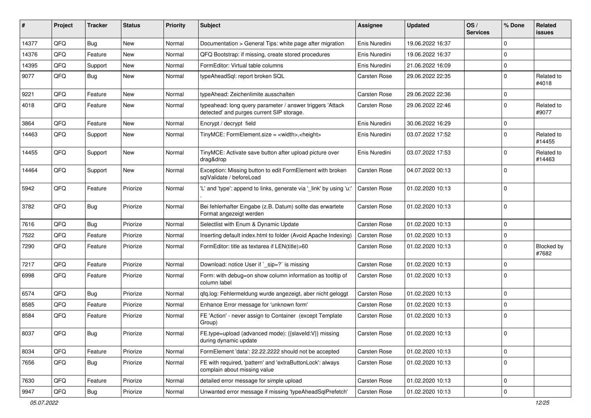| ∦     | Project | <b>Tracker</b> | <b>Status</b> | <b>Priority</b> | <b>Subject</b>                                                                                         | <b>Assignee</b> | <b>Updated</b>   | OS/<br><b>Services</b> | % Done      | Related<br>issues    |
|-------|---------|----------------|---------------|-----------------|--------------------------------------------------------------------------------------------------------|-----------------|------------------|------------------------|-------------|----------------------|
| 14377 | QFQ     | Bug            | <b>New</b>    | Normal          | Documentation > General Tips: white page after migration                                               | Enis Nuredini   | 19.06.2022 16:37 |                        | $\Omega$    |                      |
| 14376 | QFQ     | Feature        | New           | Normal          | QFQ Bootstrap: if missing, create stored procedures                                                    | Enis Nuredini   | 19.06.2022 16:37 |                        | $\Omega$    |                      |
| 14395 | QFQ     | Support        | New           | Normal          | FormEditor: Virtual table columns                                                                      | Enis Nuredini   | 21.06.2022 16:09 |                        | $\Omega$    |                      |
| 9077  | QFQ     | Bug            | <b>New</b>    | Normal          | typeAheadSql: report broken SQL                                                                        | Carsten Rose    | 29.06.2022 22:35 |                        | $\Omega$    | Related to<br>#4018  |
| 9221  | QFQ     | Feature        | New           | Normal          | typeAhead: Zeichenlimite ausschalten                                                                   | Carsten Rose    | 29.06.2022 22:36 |                        | $\mathbf 0$ |                      |
| 4018  | QFQ     | Feature        | New           | Normal          | typeahead: long query parameter / answer triggers 'Attack<br>detected' and purges current SIP storage. | Carsten Rose    | 29.06.2022 22:46 |                        | $\mathbf 0$ | Related to<br>#9077  |
| 3864  | QFQ     | Feature        | <b>New</b>    | Normal          | Encrypt / decrypt field                                                                                | Enis Nuredini   | 30.06.2022 16:29 |                        | $\mathbf 0$ |                      |
| 14463 | QFQ     | Support        | New           | Normal          | TinyMCE: FormElement.size = <width>,<height></height></width>                                          | Enis Nuredini   | 03.07.2022 17:52 |                        | $\Omega$    | Related to<br>#14455 |
| 14455 | QFQ     | Support        | <b>New</b>    | Normal          | TinyMCE: Activate save button after upload picture over<br>drag&drop                                   | Enis Nuredini   | 03.07.2022 17:53 |                        | $\mathbf 0$ | Related to<br>#14463 |
| 14464 | QFQ     | Support        | New           | Normal          | Exception: Missing button to edit FormElement with broken<br>sqlValidate / beforeLoad                  | Carsten Rose    | 04.07.2022 00:13 |                        | $\mathbf 0$ |                      |
| 5942  | QFQ     | Feature        | Priorize      | Normal          | 'L' and 'type': append to links, generate via '_link' by using 'u:'                                    | Carsten Rose    | 01.02.2020 10:13 |                        | $\Omega$    |                      |
| 3782  | QFQ     | Bug            | Priorize      | Normal          | Bei fehlerhafter Eingabe (z.B. Datum) sollte das erwartete<br>Format angezeigt werden                  | Carsten Rose    | 01.02.2020 10:13 |                        | $\Omega$    |                      |
| 7616  | QFQ     | Bug            | Priorize      | Normal          | Selectlist with Enum & Dynamic Update                                                                  | Carsten Rose    | 01.02.2020 10:13 |                        | $\Omega$    |                      |
| 7522  | QFQ     | Feature        | Priorize      | Normal          | Inserting default index.html to folder (Avoid Apache Indexing)                                         | Carsten Rose    | 01.02.2020 10:13 |                        | $\mathbf 0$ |                      |
| 7290  | QFQ     | Feature        | Priorize      | Normal          | FormEditor: title as textarea if LEN(title)>60                                                         | Carsten Rose    | 01.02.2020 10:13 |                        | $\Omega$    | Blocked by<br>#7682  |
| 7217  | QFQ     | Feature        | Priorize      | Normal          | Download: notice User if `_sip=?` is missing                                                           | Carsten Rose    | 01.02.2020 10:13 |                        | $\mathbf 0$ |                      |
| 6998  | QFQ     | Feature        | Priorize      | Normal          | Form: with debug=on show column information as tooltip of<br>column label                              | Carsten Rose    | 01.02.2020 10:13 |                        | $\Omega$    |                      |
| 6574  | QFQ     | Bug            | Priorize      | Normal          | qfq.log: Fehlermeldung wurde angezeigt, aber nicht geloggt                                             | Carsten Rose    | 01.02.2020 10:13 |                        | $\Omega$    |                      |
| 8585  | QFQ     | Feature        | Priorize      | Normal          | Enhance Error message for 'unknown form'                                                               | Carsten Rose    | 01.02.2020 10:13 |                        | $\mathbf 0$ |                      |
| 8584  | QFQ     | Feature        | Priorize      | Normal          | FE 'Action' - never assign to Container (except Template<br>Group)                                     | Carsten Rose    | 01.02.2020 10:13 |                        | $\Omega$    |                      |
| 8037  | QFG     | <b>Bug</b>     | Priorize      | Normal          | FE.type=upload (advanced mode): {{slaveld:V}} missing<br>during dynamic update                         | Carsten Rose    | 01.02.2020 10:13 |                        | $\mathbf 0$ |                      |
| 8034  | QFQ     | Feature        | Priorize      | Normal          | FormElement 'data': 22.22.2222 should not be accepted                                                  | Carsten Rose    | 01.02.2020 10:13 |                        | $\mathbf 0$ |                      |
| 7656  | QFQ     | <b>Bug</b>     | Priorize      | Normal          | FE with required, 'pattern' and 'extraButtonLock': always<br>complain about missing value              | Carsten Rose    | 01.02.2020 10:13 |                        | $\mathbf 0$ |                      |
| 7630  | QFQ     | Feature        | Priorize      | Normal          | detailed error message for simple upload                                                               | Carsten Rose    | 01.02.2020 10:13 |                        | $\mathbf 0$ |                      |
| 9947  | QFQ     | <b>Bug</b>     | Priorize      | Normal          | Unwanted error message if missing 'typeAheadSqlPrefetch'                                               | Carsten Rose    | 01.02.2020 10:13 |                        | $\mathbf 0$ |                      |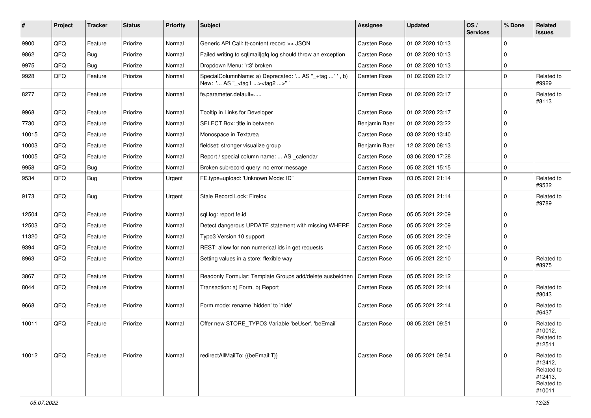| #     | Project | <b>Tracker</b> | <b>Status</b> | <b>Priority</b> | <b>Subject</b>                                                                                      | <b>Assignee</b> | <b>Updated</b>   | OS/<br><b>Services</b> | % Done       | Related<br>issues                                                      |
|-------|---------|----------------|---------------|-----------------|-----------------------------------------------------------------------------------------------------|-----------------|------------------|------------------------|--------------|------------------------------------------------------------------------|
| 9900  | QFQ     | Feature        | Priorize      | Normal          | Generic API Call: tt-content record >> JSON                                                         | Carsten Rose    | 01.02.2020 10:13 |                        | $\Omega$     |                                                                        |
| 9862  | QFQ     | Bug            | Priorize      | Normal          | Failed writing to sql mail qfq.log should throw an exception                                        | Carsten Rose    | 01.02.2020 10:13 |                        | $\mathbf 0$  |                                                                        |
| 9975  | QFQ     | <b>Bug</b>     | Priorize      | Normal          | Dropdown Menu: 'r:3' broken                                                                         | Carsten Rose    | 01.02.2020 10:13 |                        | $\mathbf{0}$ |                                                                        |
| 9928  | QFQ     | Feature        | Priorize      | Normal          | SpecialColumnName: a) Deprecated: ' AS "_+tag " ', b)<br>New: ' AS "_ <tag1><tag2>" '</tag2></tag1> | Carsten Rose    | 01.02.2020 23:17 |                        | $\Omega$     | Related to<br>#9929                                                    |
| 8277  | QFQ     | Feature        | Priorize      | Normal          | fe.parameter.default=                                                                               | Carsten Rose    | 01.02.2020 23:17 |                        | $\Omega$     | Related to<br>#8113                                                    |
| 9968  | QFQ     | Feature        | Priorize      | Normal          | Tooltip in Links for Developer                                                                      | Carsten Rose    | 01.02.2020 23:17 |                        | $\Omega$     |                                                                        |
| 7730  | QFQ     | Feature        | Priorize      | Normal          | SELECT Box: title in between                                                                        | Benjamin Baer   | 01.02.2020 23:22 |                        | $\Omega$     |                                                                        |
| 10015 | QFQ     | Feature        | Priorize      | Normal          | Monospace in Textarea                                                                               | Carsten Rose    | 03.02.2020 13:40 |                        | $\mathbf{0}$ |                                                                        |
| 10003 | QFQ     | Feature        | Priorize      | Normal          | fieldset: stronger visualize group                                                                  | Benjamin Baer   | 12.02.2020 08:13 |                        | $\mathbf 0$  |                                                                        |
| 10005 | QFQ     | Feature        | Priorize      | Normal          | Report / special column name:  AS _calendar                                                         | Carsten Rose    | 03.06.2020 17:28 |                        | $\mathbf 0$  |                                                                        |
| 9958  | QFQ     | Bug            | Priorize      | Normal          | Broken subrecord query: no error message                                                            | Carsten Rose    | 05.02.2021 15:15 |                        | $\mathbf 0$  |                                                                        |
| 9534  | QFQ     | Bug            | Priorize      | Urgent          | FE.type=upload: 'Unknown Mode: ID"                                                                  | Carsten Rose    | 03.05.2021 21:14 |                        | $\mathbf 0$  | Related to<br>#9532                                                    |
| 9173  | QFQ     | Bug            | Priorize      | Urgent          | Stale Record Lock: Firefox                                                                          | Carsten Rose    | 03.05.2021 21:14 |                        | $\Omega$     | Related to<br>#9789                                                    |
| 12504 | QFQ     | Feature        | Priorize      | Normal          | sql.log: report fe.id                                                                               | Carsten Rose    | 05.05.2021 22:09 |                        | $\mathbf 0$  |                                                                        |
| 12503 | QFQ     | Feature        | Priorize      | Normal          | Detect dangerous UPDATE statement with missing WHERE                                                | Carsten Rose    | 05.05.2021 22:09 |                        | $\mathbf 0$  |                                                                        |
| 11320 | QFQ     | Feature        | Priorize      | Normal          | Typo3 Version 10 support                                                                            | Carsten Rose    | 05.05.2021 22:09 |                        | $\mathbf 0$  |                                                                        |
| 9394  | QFQ     | Feature        | Priorize      | Normal          | REST: allow for non numerical ids in get requests                                                   | Carsten Rose    | 05.05.2021 22:10 |                        | $\mathbf 0$  |                                                                        |
| 8963  | QFQ     | Feature        | Priorize      | Normal          | Setting values in a store: flexible way                                                             | Carsten Rose    | 05.05.2021 22:10 |                        | $\Omega$     | Related to<br>#8975                                                    |
| 3867  | QFQ     | Feature        | Priorize      | Normal          | Readonly Formular: Template Groups add/delete ausbeldnen                                            | Carsten Rose    | 05.05.2021 22:12 |                        | $\mathbf 0$  |                                                                        |
| 8044  | QFQ     | Feature        | Priorize      | Normal          | Transaction: a) Form, b) Report                                                                     | Carsten Rose    | 05.05.2021 22:14 |                        | $\Omega$     | Related to<br>#8043                                                    |
| 9668  | QFQ     | Feature        | Priorize      | Normal          | Form.mode: rename 'hidden' to 'hide'                                                                | Carsten Rose    | 05.05.2021 22:14 |                        | $\Omega$     | Related to<br>#6437                                                    |
| 10011 | QFQ     | Feature        | Priorize      | Normal          | Offer new STORE_TYPO3 Variable 'beUser', 'beEmail'                                                  | Carsten Rose    | 08.05.2021 09:51 |                        | $\Omega$     | Related to<br>#10012,<br>Related to<br>#12511                          |
| 10012 | QFQ     | Feature        | Priorize      | Normal          | redirectAllMailTo: {{beEmail:T}}                                                                    | Carsten Rose    | 08.05.2021 09:54 |                        | $\mathbf{0}$ | Related to<br>#12412,<br>Related to<br>#12413,<br>Related to<br>#10011 |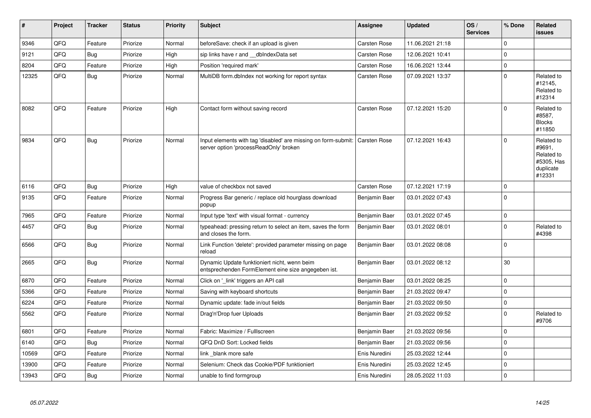| #     | Project | <b>Tracker</b> | <b>Status</b> | <b>Priority</b> | <b>Subject</b>                                                                                           | <b>Assignee</b>     | <b>Updated</b>   | OS/<br><b>Services</b> | % Done       | Related<br><b>issues</b>                                                |
|-------|---------|----------------|---------------|-----------------|----------------------------------------------------------------------------------------------------------|---------------------|------------------|------------------------|--------------|-------------------------------------------------------------------------|
| 9346  | QFQ     | Feature        | Priorize      | Normal          | beforeSave: check if an upload is given                                                                  | <b>Carsten Rose</b> | 11.06.2021 21:18 |                        | $\Omega$     |                                                                         |
| 9121  | QFQ     | <b>Bug</b>     | Priorize      | High            | sip links have r and __dbIndexData set                                                                   | Carsten Rose        | 12.06.2021 10:41 |                        | $\mathbf{0}$ |                                                                         |
| 8204  | QFQ     | Feature        | Priorize      | High            | Position 'required mark'                                                                                 | <b>Carsten Rose</b> | 16.06.2021 13:44 |                        | $\mathbf{0}$ |                                                                         |
| 12325 | QFQ     | <b>Bug</b>     | Priorize      | Normal          | MultiDB form.dblndex not working for report syntax                                                       | Carsten Rose        | 07.09.2021 13:37 |                        | $\Omega$     | Related to<br>#12145,<br>Related to<br>#12314                           |
| 8082  | QFQ     | Feature        | Priorize      | High            | Contact form without saving record                                                                       | <b>Carsten Rose</b> | 07.12.2021 15:20 |                        | $\mathbf 0$  | Related to<br>#8587,<br><b>Blocks</b><br>#11850                         |
| 9834  | QFQ     | Bug            | Priorize      | Normal          | Input elements with tag 'disabled' are missing on form-submit:<br>server option 'processReadOnly' broken | Carsten Rose        | 07.12.2021 16:43 |                        | $\mathbf{0}$ | Related to<br>#9691,<br>Related to<br>#5305, Has<br>duplicate<br>#12331 |
| 6116  | QFQ     | Bug            | Priorize      | High            | value of checkbox not saved                                                                              | <b>Carsten Rose</b> | 07.12.2021 17:19 |                        | $\mathbf 0$  |                                                                         |
| 9135  | QFQ     | Feature        | Priorize      | Normal          | Progress Bar generic / replace old hourglass download<br>popup                                           | Benjamin Baer       | 03.01.2022 07:43 |                        | $\mathbf 0$  |                                                                         |
| 7965  | QFQ     | Feature        | Priorize      | Normal          | Input type 'text' with visual format - currency                                                          | Benjamin Baer       | 03.01.2022 07:45 |                        | $\mathsf 0$  |                                                                         |
| 4457  | QFQ     | Bug            | Priorize      | Normal          | typeahead: pressing return to select an item, saves the form<br>and closes the form.                     | Benjamin Baer       | 03.01.2022 08:01 |                        | $\mathbf 0$  | Related to<br>#4398                                                     |
| 6566  | QFQ     | Bug            | Priorize      | Normal          | Link Function 'delete': provided parameter missing on page<br>reload                                     | Benjamin Baer       | 03.01.2022 08:08 |                        | $\mathbf 0$  |                                                                         |
| 2665  | QFQ     | Bug            | Priorize      | Normal          | Dynamic Update funktioniert nicht, wenn beim<br>entsprechenden FormElement eine size angegeben ist.      | Benjamin Baer       | 03.01.2022 08:12 |                        | 30           |                                                                         |
| 6870  | QFQ     | Feature        | Priorize      | Normal          | Click on '_link' triggers an API call                                                                    | Benjamin Baer       | 03.01.2022 08:25 |                        | $\mathbf 0$  |                                                                         |
| 5366  | QFQ     | Feature        | Priorize      | Normal          | Saving with keyboard shortcuts                                                                           | Benjamin Baer       | 21.03.2022 09:47 |                        | $\mathbf 0$  |                                                                         |
| 6224  | QFQ     | Feature        | Priorize      | Normal          | Dynamic update: fade in/out fields                                                                       | Benjamin Baer       | 21.03.2022 09:50 |                        | $\mathbf 0$  |                                                                         |
| 5562  | QFQ     | Feature        | Priorize      | Normal          | Drag'n'Drop fuer Uploads                                                                                 | Benjamin Baer       | 21.03.2022 09:52 |                        | $\mathbf 0$  | Related to<br>#9706                                                     |
| 6801  | QFQ     | Feature        | Priorize      | Normal          | Fabric: Maximize / Fulllscreen                                                                           | Benjamin Baer       | 21.03.2022 09:56 |                        | $\mathbf 0$  |                                                                         |
| 6140  | QFQ     | Bug            | Priorize      | Normal          | QFQ DnD Sort: Locked fields                                                                              | Benjamin Baer       | 21.03.2022 09:56 |                        | $\mathsf 0$  |                                                                         |
| 10569 | QFQ     | Feature        | Priorize      | Normal          | link blank more safe                                                                                     | Enis Nuredini       | 25.03.2022 12:44 |                        | $\mathbf 0$  |                                                                         |
| 13900 | QFQ     | Feature        | Priorize      | Normal          | Selenium: Check das Cookie/PDF funktioniert                                                              | Enis Nuredini       | 25.03.2022 12:45 |                        | $\mathbf 0$  |                                                                         |
| 13943 | QFQ     | Bug            | Priorize      | Normal          | unable to find formgroup                                                                                 | Enis Nuredini       | 28.05.2022 11:03 |                        | $\pmb{0}$    |                                                                         |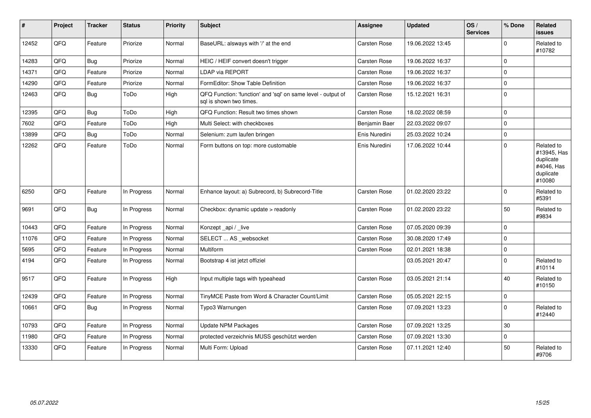| ∦     | Project | <b>Tracker</b> | <b>Status</b> | <b>Priority</b> | <b>Subject</b>                                                                          | <b>Assignee</b>     | <b>Updated</b>   | OS/<br><b>Services</b> | % Done      | Related<br><b>issues</b>                                                    |
|-------|---------|----------------|---------------|-----------------|-----------------------------------------------------------------------------------------|---------------------|------------------|------------------------|-------------|-----------------------------------------------------------------------------|
| 12452 | QFQ     | Feature        | Priorize      | Normal          | BaseURL: alsways with '/' at the end                                                    | Carsten Rose        | 19.06.2022 13:45 |                        | $\Omega$    | Related to<br>#10782                                                        |
| 14283 | QFQ     | Bug            | Priorize      | Normal          | HEIC / HEIF convert doesn't trigger                                                     | Carsten Rose        | 19.06.2022 16:37 |                        | $\mathbf 0$ |                                                                             |
| 14371 | QFQ     | Feature        | Priorize      | Normal          | LDAP via REPORT                                                                         | Carsten Rose        | 19.06.2022 16:37 |                        | $\Omega$    |                                                                             |
| 14290 | QFQ     | Feature        | Priorize      | Normal          | FormEditor: Show Table Definition                                                       | Carsten Rose        | 19.06.2022 16:37 |                        | $\mathbf 0$ |                                                                             |
| 12463 | QFQ     | <b>Bug</b>     | ToDo          | High            | QFQ Function: 'function' and 'sql' on same level - output of<br>sql is shown two times. | Carsten Rose        | 15.12.2021 16:31 |                        | $\mathbf 0$ |                                                                             |
| 12395 | QFQ     | <b>Bug</b>     | ToDo          | High            | QFQ Function: Result two times shown                                                    | Carsten Rose        | 18.02.2022 08:59 |                        | $\Omega$    |                                                                             |
| 7602  | QFQ     | Feature        | ToDo          | High            | Multi Select: with checkboxes                                                           | Benjamin Baer       | 22.03.2022 09:07 |                        | $\mathbf 0$ |                                                                             |
| 13899 | QFQ     | <b>Bug</b>     | ToDo          | Normal          | Selenium: zum laufen bringen                                                            | Enis Nuredini       | 25.03.2022 10:24 |                        | $\mathbf 0$ |                                                                             |
| 12262 | QFQ     | Feature        | ToDo          | Normal          | Form buttons on top: more customable                                                    | Enis Nuredini       | 17.06.2022 10:44 |                        | $\Omega$    | Related to<br>#13945, Has<br>duplicate<br>#4046, Has<br>duplicate<br>#10080 |
| 6250  | QFQ     | Feature        | In Progress   | Normal          | Enhance layout: a) Subrecord, b) Subrecord-Title                                        | Carsten Rose        | 01.02.2020 23:22 |                        | $\Omega$    | Related to<br>#5391                                                         |
| 9691  | QFQ     | <b>Bug</b>     | In Progress   | Normal          | Checkbox: dynamic update > readonly                                                     | Carsten Rose        | 01.02.2020 23:22 |                        | 50          | Related to<br>#9834                                                         |
| 10443 | QFQ     | Feature        | In Progress   | Normal          | Konzept_api / _live                                                                     | Carsten Rose        | 07.05.2020 09:39 |                        | $\Omega$    |                                                                             |
| 11076 | QFQ     | Feature        | In Progress   | Normal          | SELECT  AS _websocket                                                                   | Carsten Rose        | 30.08.2020 17:49 |                        | $\mathbf 0$ |                                                                             |
| 5695  | QFQ     | Feature        | In Progress   | Normal          | Multiform                                                                               | Carsten Rose        | 02.01.2021 18:38 |                        | $\Omega$    |                                                                             |
| 4194  | QFQ     | Feature        | In Progress   | Normal          | Bootstrap 4 ist jetzt offiziel                                                          |                     | 03.05.2021 20:47 |                        | $\mathbf 0$ | Related to<br>#10114                                                        |
| 9517  | QFQ     | Feature        | In Progress   | High            | Input multiple tags with typeahead                                                      | Carsten Rose        | 03.05.2021 21:14 |                        | 40          | Related to<br>#10150                                                        |
| 12439 | QFQ     | Feature        | In Progress   | Normal          | TinyMCE Paste from Word & Character Count/Limit                                         | Carsten Rose        | 05.05.2021 22:15 |                        | $\mathbf 0$ |                                                                             |
| 10661 | QFQ     | <b>Bug</b>     | In Progress   | Normal          | Typo3 Warnungen                                                                         | Carsten Rose        | 07.09.2021 13:23 |                        | $\Omega$    | Related to<br>#12440                                                        |
| 10793 | QFQ     | Feature        | In Progress   | Normal          | <b>Update NPM Packages</b>                                                              | Carsten Rose        | 07.09.2021 13:25 |                        | 30          |                                                                             |
| 11980 | QFO     | Feature        | In Progress   | Normal          | protected verzeichnis MUSS geschützt werden                                             | Carsten Rose        | 07.09.2021 13:30 |                        | $\mathbf 0$ |                                                                             |
| 13330 | QFQ     | Feature        | In Progress   | Normal          | Multi Form: Upload                                                                      | <b>Carsten Rose</b> | 07.11.2021 12:40 |                        | 50          | Related to<br>#9706                                                         |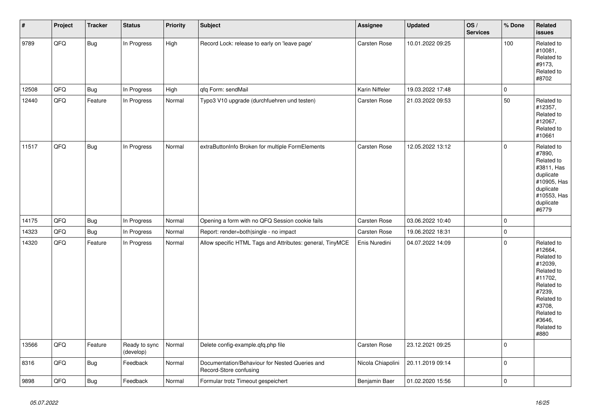| $\vert$ # | Project | <b>Tracker</b> | <b>Status</b>              | Priority | <b>Subject</b>                                                           | Assignee          | <b>Updated</b>   | OS/<br><b>Services</b> | % Done      | Related<br><b>issues</b>                                                                                                                                              |
|-----------|---------|----------------|----------------------------|----------|--------------------------------------------------------------------------|-------------------|------------------|------------------------|-------------|-----------------------------------------------------------------------------------------------------------------------------------------------------------------------|
| 9789      | QFQ     | Bug            | In Progress                | High     | Record Lock: release to early on 'leave page'                            | Carsten Rose      | 10.01.2022 09:25 |                        | 100         | Related to<br>#10081,<br>Related to<br>#9173,<br>Related to<br>#8702                                                                                                  |
| 12508     | QFQ     | <b>Bug</b>     | In Progress                | High     | gfg Form: sendMail                                                       | Karin Niffeler    | 19.03.2022 17:48 |                        | $\mathbf 0$ |                                                                                                                                                                       |
| 12440     | QFQ     | Feature        | In Progress                | Normal   | Typo3 V10 upgrade (durchfuehren und testen)                              | Carsten Rose      | 21.03.2022 09:53 |                        | 50          | Related to<br>#12357,<br>Related to<br>#12067.<br>Related to<br>#10661                                                                                                |
| 11517     | QFQ     | Bug            | In Progress                | Normal   | extraButtonInfo Broken for multiple FormElements                         | Carsten Rose      | 12.05.2022 13:12 |                        | $\pmb{0}$   | Related to<br>#7890,<br>Related to<br>#3811, Has<br>duplicate<br>#10905, Has<br>duplicate<br>#10553, Has<br>duplicate<br>#6779                                        |
| 14175     | QFQ     | <b>Bug</b>     | In Progress                | Normal   | Opening a form with no QFQ Session cookie fails                          | Carsten Rose      | 03.06.2022 10:40 |                        | $\pmb{0}$   |                                                                                                                                                                       |
| 14323     | QFQ     | <b>Bug</b>     | In Progress                | Normal   | Report: render=both single - no impact                                   | Carsten Rose      | 19.06.2022 18:31 |                        | $\pmb{0}$   |                                                                                                                                                                       |
| 14320     | QFQ     | Feature        | In Progress                | Normal   | Allow specific HTML Tags and Attributes: general, TinyMCE                | Enis Nuredini     | 04.07.2022 14:09 |                        | $\pmb{0}$   | Related to<br>#12664,<br>Related to<br>#12039,<br>Related to<br>#11702.<br>Related to<br>#7239,<br>Related to<br>#3708,<br>Related to<br>#3646,<br>Related to<br>#880 |
| 13566     | QFQ     | Feature        | Ready to sync<br>(develop) | Normal   | Delete config-example.qfq.php file                                       | Carsten Rose      | 23.12.2021 09:25 |                        | $\pmb{0}$   |                                                                                                                                                                       |
| 8316      | QFQ     | <b>Bug</b>     | Feedback                   | Normal   | Documentation/Behaviour for Nested Queries and<br>Record-Store confusing | Nicola Chiapolini | 20.11.2019 09:14 |                        | $\mathbf 0$ |                                                                                                                                                                       |
| 9898      | QFQ     | Bug            | Feedback                   | Normal   | Formular trotz Timeout gespeichert                                       | Benjamin Baer     | 01.02.2020 15:56 |                        | $\pmb{0}$   |                                                                                                                                                                       |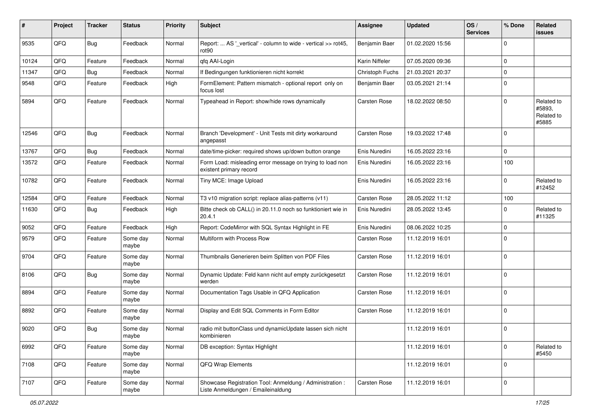| #     | Project | <b>Tracker</b> | <b>Status</b>     | <b>Priority</b> | Subject                                                                                        | <b>Assignee</b> | <b>Updated</b>   | OS/<br><b>Services</b> | % Done      | Related<br>issues                           |
|-------|---------|----------------|-------------------|-----------------|------------------------------------------------------------------------------------------------|-----------------|------------------|------------------------|-------------|---------------------------------------------|
| 9535  | QFQ     | <b>Bug</b>     | Feedback          | Normal          | Report:  AS '_vertical' - column to wide - vertical >> rot45,<br>rot90                         | Benjamin Baer   | 01.02.2020 15:56 |                        | $\Omega$    |                                             |
| 10124 | QFQ     | Feature        | Feedback          | Normal          | qfq AAI-Login                                                                                  | Karin Niffeler  | 07.05.2020 09:36 |                        | $\mathbf 0$ |                                             |
| 11347 | QFQ     | Bug            | Feedback          | Normal          | If Bedingungen funktionieren nicht korrekt                                                     | Christoph Fuchs | 21.03.2021 20:37 |                        | $\Omega$    |                                             |
| 9548  | QFQ     | Feature        | Feedback          | High            | FormElement: Pattern mismatch - optional report only on<br>focus lost                          | Benjamin Baer   | 03.05.2021 21:14 |                        | $\Omega$    |                                             |
| 5894  | QFQ     | Feature        | Feedback          | Normal          | Typeahead in Report: show/hide rows dynamically                                                | Carsten Rose    | 18.02.2022 08:50 |                        | $\Omega$    | Related to<br>#5893,<br>Related to<br>#5885 |
| 12546 | QFQ     | Bug            | Feedback          | Normal          | Branch 'Development' - Unit Tests mit dirty workaround<br>angepasst                            | Carsten Rose    | 19.03.2022 17:48 |                        | $\Omega$    |                                             |
| 13767 | QFQ     | Bug            | Feedback          | Normal          | date/time-picker: required shows up/down button orange                                         | Enis Nuredini   | 16.05.2022 23:16 |                        | $\Omega$    |                                             |
| 13572 | QFQ     | Feature        | Feedback          | Normal          | Form Load: misleading error message on trying to load non<br>existent primary record           | Enis Nuredini   | 16.05.2022 23:16 |                        | 100         |                                             |
| 10782 | QFQ     | Feature        | Feedback          | Normal          | Tiny MCE: Image Upload                                                                         | Enis Nuredini   | 16.05.2022 23:16 |                        | $\mathbf 0$ | Related to<br>#12452                        |
| 12584 | QFQ     | Feature        | Feedback          | Normal          | T3 v10 migration script: replace alias-patterns (v11)                                          | Carsten Rose    | 28.05.2022 11:12 |                        | 100         |                                             |
| 11630 | QFQ     | Bug            | Feedback          | High            | Bitte check ob CALL() in 20.11.0 noch so funktioniert wie in<br>20.4.1                         | Enis Nuredini   | 28.05.2022 13:45 |                        | $\Omega$    | Related to<br>#11325                        |
| 9052  | QFQ     | Feature        | Feedback          | High            | Report: CodeMirror with SQL Syntax Highlight in FE                                             | Enis Nuredini   | 08.06.2022 10:25 |                        | $\mathbf 0$ |                                             |
| 9579  | QFQ     | Feature        | Some day<br>maybe | Normal          | Multiform with Process Row                                                                     | Carsten Rose    | 11.12.2019 16:01 |                        | $\Omega$    |                                             |
| 9704  | QFQ     | Feature        | Some day<br>maybe | Normal          | Thumbnails Generieren beim Splitten von PDF Files                                              | Carsten Rose    | 11.12.2019 16:01 |                        | $\mathbf 0$ |                                             |
| 8106  | QFQ     | Bug            | Some day<br>maybe | Normal          | Dynamic Update: Feld kann nicht auf empty zurückgesetzt<br>werden                              | Carsten Rose    | 11.12.2019 16:01 |                        | $\Omega$    |                                             |
| 8894  | QFQ     | Feature        | Some day<br>maybe | Normal          | Documentation Tags Usable in QFQ Application                                                   | Carsten Rose    | 11.12.2019 16:01 |                        | $\mathbf 0$ |                                             |
| 8892  | QFQ     | Feature        | Some day<br>maybe | Normal          | Display and Edit SQL Comments in Form Editor                                                   | Carsten Rose    | 11.12.2019 16:01 |                        | $\Omega$    |                                             |
| 9020  | QFQ     | <b>Bug</b>     | Some day<br>maybe | Normal          | radio mit buttonClass und dynamicUpdate lassen sich nicht<br>kombinieren                       |                 | 11.12.2019 16:01 |                        | $\mathbf 0$ |                                             |
| 6992  | QFQ     | Feature        | Some day<br>maybe | Normal          | DB exception: Syntax Highlight                                                                 |                 | 11.12.2019 16:01 |                        | $\mathbf 0$ | Related to<br>#5450                         |
| 7108  | QFQ     | Feature        | Some day<br>maybe | Normal          | QFQ Wrap Elements                                                                              |                 | 11.12.2019 16:01 |                        | $\Omega$    |                                             |
| 7107  | QFQ     | Feature        | Some day<br>maybe | Normal          | Showcase Registration Tool: Anmeldung / Administration :<br>Liste Anmeldungen / Emaileinaldung | Carsten Rose    | 11.12.2019 16:01 |                        | $\mathbf 0$ |                                             |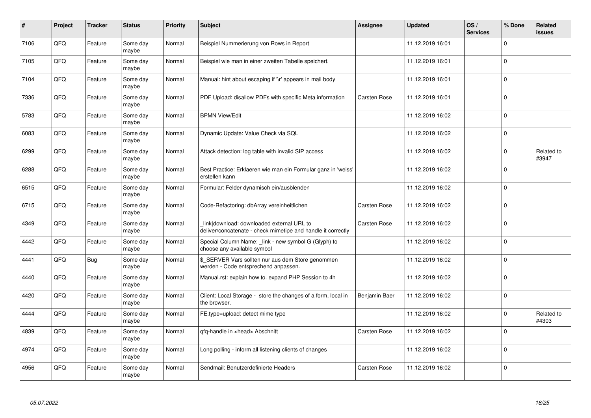| #    | Project | <b>Tracker</b> | <b>Status</b>     | <b>Priority</b> | <b>Subject</b>                                                                                            | <b>Assignee</b> | <b>Updated</b>   | OS/<br><b>Services</b> | % Done      | <b>Related</b><br><b>issues</b> |
|------|---------|----------------|-------------------|-----------------|-----------------------------------------------------------------------------------------------------------|-----------------|------------------|------------------------|-------------|---------------------------------|
| 7106 | QFQ     | Feature        | Some day<br>maybe | Normal          | Beispiel Nummerierung von Rows in Report                                                                  |                 | 11.12.2019 16:01 |                        | $\Omega$    |                                 |
| 7105 | QFQ     | Feature        | Some day<br>maybe | Normal          | Beispiel wie man in einer zweiten Tabelle speichert.                                                      |                 | 11.12.2019 16:01 |                        | $\Omega$    |                                 |
| 7104 | QFQ     | Feature        | Some day<br>maybe | Normal          | Manual: hint about escaping if '\r' appears in mail body                                                  |                 | 11.12.2019 16:01 |                        | $\Omega$    |                                 |
| 7336 | QFQ     | Feature        | Some day<br>maybe | Normal          | PDF Upload: disallow PDFs with specific Meta information                                                  | Carsten Rose    | 11.12.2019 16:01 |                        | 0           |                                 |
| 5783 | QFQ     | Feature        | Some day<br>maybe | Normal          | <b>BPMN View/Edit</b>                                                                                     |                 | 11.12.2019 16:02 |                        | $\Omega$    |                                 |
| 6083 | QFQ     | Feature        | Some day<br>maybe | Normal          | Dynamic Update: Value Check via SQL                                                                       |                 | 11.12.2019 16:02 |                        | $\Omega$    |                                 |
| 6299 | QFQ     | Feature        | Some day<br>maybe | Normal          | Attack detection: log table with invalid SIP access                                                       |                 | 11.12.2019 16:02 |                        | $\Omega$    | Related to<br>#3947             |
| 6288 | QFQ     | Feature        | Some day<br>maybe | Normal          | Best Practice: Erklaeren wie man ein Formular ganz in 'weiss'<br>erstellen kann                           |                 | 11.12.2019 16:02 |                        | 0           |                                 |
| 6515 | QFQ     | Feature        | Some day<br>maybe | Normal          | Formular: Felder dynamisch ein/ausblenden                                                                 |                 | 11.12.2019 16:02 |                        | $\Omega$    |                                 |
| 6715 | QFQ     | Feature        | Some day<br>maybe | Normal          | Code-Refactoring: dbArray vereinheitlichen                                                                | Carsten Rose    | 11.12.2019 16:02 |                        | $\Omega$    |                                 |
| 4349 | QFQ     | Feature        | Some day<br>maybe | Normal          | link download: downloaded external URL to<br>deliver/concatenate - check mimetipe and handle it correctly | Carsten Rose    | 11.12.2019 16:02 |                        | $\mathbf 0$ |                                 |
| 4442 | QFQ     | Feature        | Some day<br>maybe | Normal          | Special Column Name: _link - new symbol G (Glyph) to<br>choose any available symbol                       |                 | 11.12.2019 16:02 |                        | $\mathbf 0$ |                                 |
| 4441 | QFQ     | <b>Bug</b>     | Some day<br>maybe | Normal          | \$_SERVER Vars sollten nur aus dem Store genommen<br>werden - Code entsprechend anpassen.                 |                 | 11.12.2019 16:02 |                        | $\Omega$    |                                 |
| 4440 | QFQ     | Feature        | Some day<br>maybe | Normal          | Manual.rst: explain how to. expand PHP Session to 4h                                                      |                 | 11.12.2019 16:02 |                        | $\mathbf 0$ |                                 |
| 4420 | QFQ     | Feature        | Some day<br>maybe | Normal          | Client: Local Storage - store the changes of a form, local in<br>the browser.                             | Benjamin Baer   | 11.12.2019 16:02 |                        | $\Omega$    |                                 |
| 4444 | QFQ     | Feature        | Some day<br>maybe | Normal          | FE.type=upload: detect mime type                                                                          |                 | 11.12.2019 16:02 |                        | $\Omega$    | Related to<br>#4303             |
| 4839 | QFQ     | Feature        | Some day<br>maybe | Normal          | qfq-handle in <head> Abschnitt</head>                                                                     | Carsten Rose    | 11.12.2019 16:02 |                        | 0           |                                 |
| 4974 | QFQ     | Feature        | Some day<br>maybe | Normal          | Long polling - inform all listening clients of changes                                                    |                 | 11.12.2019 16:02 |                        | $\Omega$    |                                 |
| 4956 | QFQ     | Feature        | Some day<br>maybe | Normal          | Sendmail: Benutzerdefinierte Headers                                                                      | Carsten Rose    | 11.12.2019 16:02 |                        | $\Omega$    |                                 |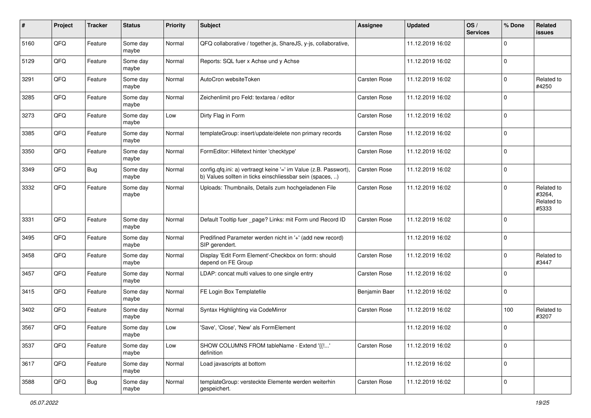| #    | Project | <b>Tracker</b> | <b>Status</b>     | <b>Priority</b> | <b>Subject</b>                                                                                                                | <b>Assignee</b> | <b>Updated</b>   | OS/<br><b>Services</b> | % Done      | Related<br><b>issues</b>                    |
|------|---------|----------------|-------------------|-----------------|-------------------------------------------------------------------------------------------------------------------------------|-----------------|------------------|------------------------|-------------|---------------------------------------------|
| 5160 | QFQ     | Feature        | Some day<br>maybe | Normal          | QFQ collaborative / together.js, ShareJS, y-js, collaborative,                                                                |                 | 11.12.2019 16:02 |                        | 0           |                                             |
| 5129 | QFQ     | Feature        | Some day<br>maybe | Normal          | Reports: SQL fuer x Achse und y Achse                                                                                         |                 | 11.12.2019 16:02 |                        | $\mathbf 0$ |                                             |
| 3291 | QFQ     | Feature        | Some day<br>maybe | Normal          | AutoCron websiteToken                                                                                                         | Carsten Rose    | 11.12.2019 16:02 |                        | 0           | Related to<br>#4250                         |
| 3285 | QFQ     | Feature        | Some day<br>maybe | Normal          | Zeichenlimit pro Feld: textarea / editor                                                                                      | Carsten Rose    | 11.12.2019 16:02 |                        | $\mathbf 0$ |                                             |
| 3273 | QFQ     | Feature        | Some day<br>maybe | Low             | Dirty Flag in Form                                                                                                            | Carsten Rose    | 11.12.2019 16:02 |                        | $\mathbf 0$ |                                             |
| 3385 | QFQ     | Feature        | Some day<br>maybe | Normal          | templateGroup: insert/update/delete non primary records                                                                       | Carsten Rose    | 11.12.2019 16:02 |                        | $\Omega$    |                                             |
| 3350 | QFQ     | Feature        | Some day<br>maybe | Normal          | FormEditor: Hilfetext hinter 'checktype'                                                                                      | Carsten Rose    | 11.12.2019 16:02 |                        | 0           |                                             |
| 3349 | QFQ     | Bug            | Some day<br>maybe | Normal          | config.qfq.ini: a) vertraegt keine '=' im Value (z.B. Passwort),<br>b) Values sollten in ticks einschliessbar sein (spaces, ) | Carsten Rose    | 11.12.2019 16:02 |                        | $\mathbf 0$ |                                             |
| 3332 | QFQ     | Feature        | Some day<br>maybe | Normal          | Uploads: Thumbnails, Details zum hochgeladenen File                                                                           | Carsten Rose    | 11.12.2019 16:02 |                        | $\Omega$    | Related to<br>#3264,<br>Related to<br>#5333 |
| 3331 | QFQ     | Feature        | Some day<br>maybe | Normal          | Default Tooltip fuer _page? Links: mit Form und Record ID                                                                     | Carsten Rose    | 11.12.2019 16:02 |                        | $\Omega$    |                                             |
| 3495 | QFQ     | Feature        | Some day<br>maybe | Normal          | Predifined Parameter werden nicht in '+' (add new record)<br>SIP gerendert.                                                   |                 | 11.12.2019 16:02 |                        | $\mathbf 0$ |                                             |
| 3458 | QFQ     | Feature        | Some day<br>maybe | Normal          | Display 'Edit Form Element'-Checkbox on form: should<br>depend on FE Group                                                    | Carsten Rose    | 11.12.2019 16:02 |                        | 0           | Related to<br>#3447                         |
| 3457 | QFQ     | Feature        | Some day<br>maybe | Normal          | LDAP: concat multi values to one single entry                                                                                 | Carsten Rose    | 11.12.2019 16:02 |                        | $\Omega$    |                                             |
| 3415 | QFQ     | Feature        | Some day<br>maybe | Normal          | FE Login Box Templatefile                                                                                                     | Benjamin Baer   | 11.12.2019 16:02 |                        | $\Omega$    |                                             |
| 3402 | QFQ     | Feature        | Some day<br>maybe | Normal          | Syntax Highlighting via CodeMirror                                                                                            | Carsten Rose    | 11.12.2019 16:02 |                        | 100         | Related to<br>#3207                         |
| 3567 | QFQ     | Feature        | Some day<br>maybe | Low             | 'Save', 'Close', 'New' als FormElement                                                                                        |                 | 11.12.2019 16:02 |                        | 0           |                                             |
| 3537 | QFQ     | Feature        | Some day<br>maybe | Low             | SHOW COLUMNS FROM tableName - Extend '{{!'<br>definition                                                                      | Carsten Rose    | 11.12.2019 16:02 |                        | $\mathbf 0$ |                                             |
| 3617 | QFQ     | Feature        | Some day<br>maybe | Normal          | Load javascripts at bottom                                                                                                    |                 | 11.12.2019 16:02 |                        | 0           |                                             |
| 3588 | QFQ     | <b>Bug</b>     | Some day<br>maybe | Normal          | templateGroup: versteckte Elemente werden weiterhin<br>gespeichert.                                                           | Carsten Rose    | 11.12.2019 16:02 |                        | $\mathbf 0$ |                                             |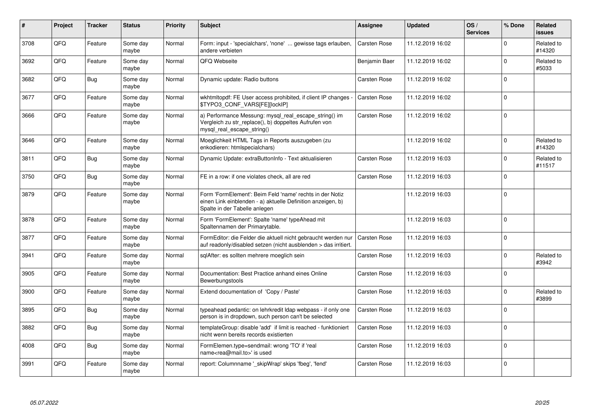| $\vert$ # | Project | <b>Tracker</b> | <b>Status</b>     | <b>Priority</b> | <b>Subject</b>                                                                                                                                           | <b>Assignee</b>     | <b>Updated</b>   | OS/<br><b>Services</b> | % Done      | Related<br><b>issues</b> |
|-----------|---------|----------------|-------------------|-----------------|----------------------------------------------------------------------------------------------------------------------------------------------------------|---------------------|------------------|------------------------|-------------|--------------------------|
| 3708      | QFQ     | Feature        | Some day<br>maybe | Normal          | Form: input - 'specialchars', 'none'  gewisse tags erlauben,<br>andere verbieten                                                                         | Carsten Rose        | 11.12.2019 16:02 |                        | $\Omega$    | Related to<br>#14320     |
| 3692      | QFQ     | Feature        | Some day<br>maybe | Normal          | QFQ Webseite                                                                                                                                             | Benjamin Baer       | 11.12.2019 16:02 |                        | $\Omega$    | Related to<br>#5033      |
| 3682      | QFQ     | Bug            | Some day<br>maybe | Normal          | Dynamic update: Radio buttons                                                                                                                            | Carsten Rose        | 11.12.2019 16:02 |                        | $\Omega$    |                          |
| 3677      | QFQ     | Feature        | Some dav<br>maybe | Normal          | wkhtmltopdf: FE User access prohibited, if client IP changes -<br>\$TYPO3_CONF_VARS[FE][lockIP]                                                          | Carsten Rose        | 11.12.2019 16:02 |                        | $\Omega$    |                          |
| 3666      | QFQ     | Feature        | Some day<br>maybe | Normal          | a) Performance Messung: mysql real escape string() im<br>Vergleich zu str_replace(), b) doppeltes Aufrufen von<br>mysql_real_escape_string()             | Carsten Rose        | 11.12.2019 16:02 |                        | $\Omega$    |                          |
| 3646      | QFQ     | Feature        | Some day<br>maybe | Normal          | Moeglichkeit HTML Tags in Reports auszugeben (zu<br>enkodieren: htmlspecialchars)                                                                        |                     | 11.12.2019 16:02 |                        | $\Omega$    | Related to<br>#14320     |
| 3811      | QFQ     | Bug            | Some day<br>maybe | Normal          | Dynamic Update: extraButtonInfo - Text aktualisieren                                                                                                     | Carsten Rose        | 11.12.2019 16:03 |                        | $\Omega$    | Related to<br>#11517     |
| 3750      | QFQ     | Bug            | Some dav<br>maybe | Normal          | FE in a row: if one violates check, all are red                                                                                                          | Carsten Rose        | 11.12.2019 16:03 |                        | $\Omega$    |                          |
| 3879      | QFQ     | Feature        | Some day<br>maybe | Normal          | Form 'FormElement': Beim Feld 'name' rechts in der Notiz<br>einen Link einblenden - a) aktuelle Definition anzeigen, b)<br>Spalte in der Tabelle anlegen |                     | 11.12.2019 16:03 |                        | $\Omega$    |                          |
| 3878      | QFQ     | Feature        | Some day<br>maybe | Normal          | Form 'FormElement': Spalte 'name' typeAhead mit<br>Spaltennamen der Primarytable.                                                                        |                     | 11.12.2019 16:03 |                        | 0           |                          |
| 3877      | QFQ     | Feature        | Some dav<br>maybe | Normal          | FormEditor: die Felder die aktuell nicht gebraucht werden nur<br>auf readonly/disabled setzen (nicht ausblenden > das irritiert.                         | <b>Carsten Rose</b> | 11.12.2019 16:03 |                        | $\mathbf 0$ |                          |
| 3941      | QFQ     | Feature        | Some day<br>maybe | Normal          | sqlAfter: es sollten mehrere moeglich sein                                                                                                               | Carsten Rose        | 11.12.2019 16:03 |                        | $\Omega$    | Related to<br>#3942      |
| 3905      | QFQ     | Feature        | Some dav<br>maybe | Normal          | Documentation: Best Practice anhand eines Online<br>Bewerbungstools                                                                                      | Carsten Rose        | 11.12.2019 16:03 |                        | $\Omega$    |                          |
| 3900      | QFQ     | Feature        | Some day<br>maybe | Normal          | Extend documentation of 'Copy / Paste'                                                                                                                   | Carsten Rose        | 11.12.2019 16:03 |                        | $\Omega$    | Related to<br>#3899      |
| 3895      | QFQ     | <b>Bug</b>     | Some day<br>maybe | Normal          | typeahead pedantic: on lehrkredit Idap webpass - if only one<br>person is in dropdown, such person can't be selected                                     | Carsten Rose        | 11.12.2019 16:03 |                        | $\Omega$    |                          |
| 3882      | QFQ     | <b>Bug</b>     | Some day<br>maybe | Normal          | templateGroup: disable 'add' if limit is reached - funktioniert<br>nicht wenn bereits records existierten                                                | Carsten Rose        | 11.12.2019 16:03 |                        | $\Omega$    |                          |
| 4008      | QFQ     | Bug            | Some day<br>maybe | Normal          | FormElemen.type=sendmail: wrong 'TO' if 'real<br>name <rea@mail.to>' is used</rea@mail.to>                                                               | Carsten Rose        | 11.12.2019 16:03 |                        | $\Omega$    |                          |
| 3991      | QFQ     | Feature        | Some day<br>maybe | Normal          | report: Columnname ' skipWrap' skips 'fbeg', 'fend'                                                                                                      | Carsten Rose        | 11.12.2019 16:03 |                        | $\Omega$    |                          |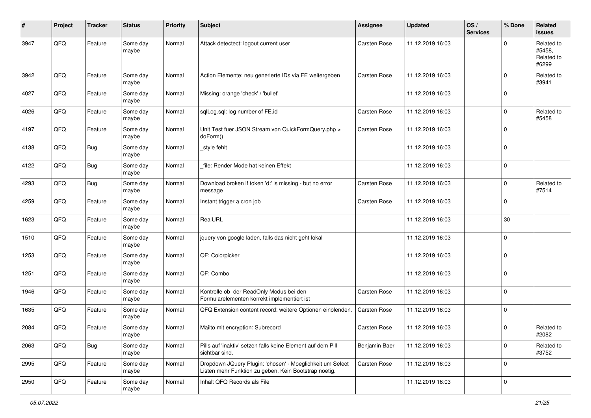| #    | Project | <b>Tracker</b> | <b>Status</b>     | <b>Priority</b> | <b>Subject</b>                                                                                                     | <b>Assignee</b>     | <b>Updated</b>   | OS/<br><b>Services</b> | % Done         | Related<br><b>issues</b>                    |
|------|---------|----------------|-------------------|-----------------|--------------------------------------------------------------------------------------------------------------------|---------------------|------------------|------------------------|----------------|---------------------------------------------|
| 3947 | QFQ     | Feature        | Some day<br>maybe | Normal          | Attack detectect: logout current user                                                                              | Carsten Rose        | 11.12.2019 16:03 |                        | $\Omega$       | Related to<br>#5458.<br>Related to<br>#6299 |
| 3942 | QFQ     | Feature        | Some day<br>maybe | Normal          | Action Elemente: neu generierte IDs via FE weitergeben                                                             | Carsten Rose        | 11.12.2019 16:03 |                        | $\Omega$       | Related to<br>#3941                         |
| 4027 | QFQ     | Feature        | Some day<br>maybe | Normal          | Missing: orange 'check' / 'bullet'                                                                                 |                     | 11.12.2019 16:03 |                        | $\mathbf 0$    |                                             |
| 4026 | QFQ     | Feature        | Some day<br>maybe | Normal          | sqlLog.sql: log number of FE.id                                                                                    | Carsten Rose        | 11.12.2019 16:03 |                        | $\mathbf 0$    | Related to<br>#5458                         |
| 4197 | QFQ     | Feature        | Some day<br>maybe | Normal          | Unit Test fuer JSON Stream von QuickFormQuery.php ><br>doForm()                                                    | Carsten Rose        | 11.12.2019 16:03 |                        | $\Omega$       |                                             |
| 4138 | QFQ     | Bug            | Some day<br>maybe | Normal          | style fehlt                                                                                                        |                     | 11.12.2019 16:03 |                        | $\Omega$       |                                             |
| 4122 | QFQ     | Bug            | Some day<br>maybe | Normal          | file: Render Mode hat keinen Effekt                                                                                |                     | 11.12.2019 16:03 |                        | $\Omega$       |                                             |
| 4293 | QFQ     | <b>Bug</b>     | Some day<br>maybe | Normal          | Download broken if token 'd:' is missing - but no error<br>message                                                 | <b>Carsten Rose</b> | 11.12.2019 16:03 |                        | $\Omega$       | Related to<br>#7514                         |
| 4259 | QFQ     | Feature        | Some day<br>maybe | Normal          | Instant trigger a cron job                                                                                         | Carsten Rose        | 11.12.2019 16:03 |                        | $\Omega$       |                                             |
| 1623 | QFQ     | Feature        | Some day<br>maybe | Normal          | RealURL                                                                                                            |                     | 11.12.2019 16:03 |                        | 30             |                                             |
| 1510 | QFQ     | Feature        | Some day<br>maybe | Normal          | jquery von google laden, falls das nicht geht lokal                                                                |                     | 11.12.2019 16:03 |                        | $\mathbf 0$    |                                             |
| 1253 | QFQ     | Feature        | Some day<br>maybe | Normal          | QF: Colorpicker                                                                                                    |                     | 11.12.2019 16:03 |                        | $\mathbf 0$    |                                             |
| 1251 | QFQ     | Feature        | Some day<br>maybe | Normal          | QF: Combo                                                                                                          |                     | 11.12.2019 16:03 |                        | $\Omega$       |                                             |
| 1946 | QFQ     | Feature        | Some day<br>maybe | Normal          | Kontrolle ob der ReadOnly Modus bei den<br>Formularelementen korrekt implementiert ist                             | Carsten Rose        | 11.12.2019 16:03 |                        | $\Omega$       |                                             |
| 1635 | QFQ     | Feature        | Some day<br>maybe | Normal          | QFQ Extension content record: weitere Optionen einblenden.                                                         | <b>Carsten Rose</b> | 11.12.2019 16:03 |                        | $\Omega$       |                                             |
| 2084 | QFQ     | Feature        | Some day<br>maybe | Normal          | Mailto mit encryption: Subrecord                                                                                   | Carsten Rose        | 11.12.2019 16:03 |                        | $\Omega$       | Related to<br>#2082                         |
| 2063 | QFQ     | Bug            | Some day<br>maybe | Normal          | Pills auf 'inaktiv' setzen falls keine Element auf dem Pill<br>sichtbar sind.                                      | Benjamin Baer       | 11.12.2019 16:03 |                        | $\mathbf 0$    | Related to<br>#3752                         |
| 2995 | QFQ     | Feature        | Some day<br>maybe | Normal          | Dropdown JQuery Plugin: 'chosen' - Moeglichkeit um Select<br>Listen mehr Funktion zu geben. Kein Bootstrap noetig. | Carsten Rose        | 11.12.2019 16:03 |                        | $\mathbf 0$    |                                             |
| 2950 | QFQ     | Feature        | Some day<br>maybe | Normal          | Inhalt QFQ Records als File                                                                                        |                     | 11.12.2019 16:03 |                        | $\overline{0}$ |                                             |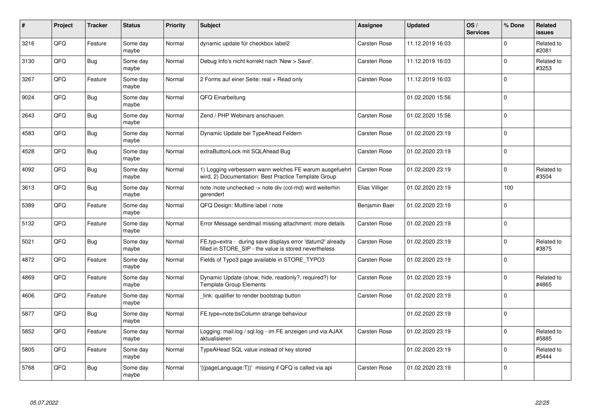| #    | Project    | <b>Tracker</b> | <b>Status</b>     | <b>Priority</b> | <b>Subject</b>                                                                                                       | <b>Assignee</b> | <b>Updated</b>   | OS/<br><b>Services</b> | % Done      | Related<br><b>issues</b> |
|------|------------|----------------|-------------------|-----------------|----------------------------------------------------------------------------------------------------------------------|-----------------|------------------|------------------------|-------------|--------------------------|
| 3216 | QFQ        | Feature        | Some day<br>maybe | Normal          | dynamic update für checkbox label2                                                                                   | Carsten Rose    | 11.12.2019 16:03 |                        | $\Omega$    | Related to<br>#2081      |
| 3130 | QFQ        | Bug            | Some day<br>maybe | Normal          | Debug Info's nicht korrekt nach 'New > Save'.                                                                        | Carsten Rose    | 11.12.2019 16:03 |                        | $\Omega$    | Related to<br>#3253      |
| 3267 | QFQ        | Feature        | Some day<br>maybe | Normal          | 2 Forms auf einer Seite: real + Read only                                                                            | Carsten Rose    | 11.12.2019 16:03 |                        | $\Omega$    |                          |
| 9024 | <b>OFO</b> | <b>Bug</b>     | Some day<br>maybe | Normal          | QFQ Einarbeitung                                                                                                     |                 | 01.02.2020 15:56 |                        | $\Omega$    |                          |
| 2643 | QFQ        | Bug            | Some day<br>maybe | Normal          | Zend / PHP Webinars anschauen                                                                                        | Carsten Rose    | 01.02.2020 15:56 |                        | $\Omega$    |                          |
| 4583 | QFQ        | Bug            | Some day<br>maybe | Normal          | Dynamic Update bei TypeAhead Feldern                                                                                 | Carsten Rose    | 01.02.2020 23:19 |                        | $\Omega$    |                          |
| 4528 | QFQ        | Bug            | Some day<br>maybe | Normal          | extraButtonLock mit SQLAhead Bug                                                                                     | Carsten Rose    | 01.02.2020 23:19 |                        | $\Omega$    |                          |
| 4092 | QFQ        | <b>Bug</b>     | Some day<br>maybe | Normal          | 1) Logging verbessern wann welches FE warum ausgefuehrt<br>wird, 2) Documentation: Best Practice Template Group      | Carsten Rose    | 01.02.2020 23:19 |                        | $\Omega$    | Related to<br>#3504      |
| 3613 | QFQ        | Bug            | Some day<br>maybe | Normal          | note /note unchecked -> note div (col-md) wird weiterhin<br>gerendert                                                | Elias Villiger  | 01.02.2020 23:19 |                        | 100         |                          |
| 5389 | QFQ        | Feature        | Some day<br>maybe | Normal          | QFQ Design: Multline label / note                                                                                    | Benjamin Baer   | 01.02.2020 23:19 |                        | $\Omega$    |                          |
| 5132 | QFQ        | Feature        | Some day<br>maybe | Normal          | Error Message sendmail missing attachment: more details                                                              | Carsten Rose    | 01.02.2020 23:19 |                        | $\Omega$    |                          |
| 5021 | QFQ        | Bug            | Some day<br>maybe | Normal          | FE.typ=extra - during save displays error 'datum2' already<br>filled in STORE_SIP - the value is stored nevertheless | Carsten Rose    | 01.02.2020 23:19 |                        | $\Omega$    | Related to<br>#3875      |
| 4872 | QFQ        | Feature        | Some day<br>maybe | Normal          | Fields of Typo3 page available in STORE TYPO3                                                                        | Carsten Rose    | 01.02.2020 23:19 |                        | $\mathbf 0$ |                          |
| 4869 | QFQ        | Feature        | Some day<br>maybe | Normal          | Dynamic Update (show, hide, readonly?, required?) for<br><b>Template Group Elements</b>                              | Carsten Rose    | 01.02.2020 23:19 |                        | $\Omega$    | Related to<br>#4865      |
| 4606 | QFQ        | Feature        | Some day<br>maybe | Normal          | link: qualifier to render bootstrap button                                                                           | Carsten Rose    | 01.02.2020 23:19 |                        | $\Omega$    |                          |
| 5877 | QFQ        | Bug            | Some day<br>maybe | Normal          | FE.type=note:bsColumn strange behaviour                                                                              |                 | 01.02.2020 23:19 |                        | $\Omega$    |                          |
| 5852 | QFQ        | Feature        | Some day<br>maybe | Normal          | Logging: mail.log / sql.log - im FE anzeigen und via AJAX<br>aktualisieren                                           | Carsten Rose    | 01.02.2020 23:19 |                        | $\Omega$    | Related to<br>#5885      |
| 5805 | QFQ        | Feature        | Some day<br>maybe | Normal          | TypeAHead SQL value instead of key stored                                                                            |                 | 01.02.2020 23:19 |                        | $\Omega$    | Related to<br>#5444      |
| 5768 | QFQ        | Bug            | Some day<br>maybe | Normal          | {{pageLanguage:T}}' missing if QFQ is called via api                                                                 | Carsten Rose    | 01.02.2020 23:19 |                        | $\Omega$    |                          |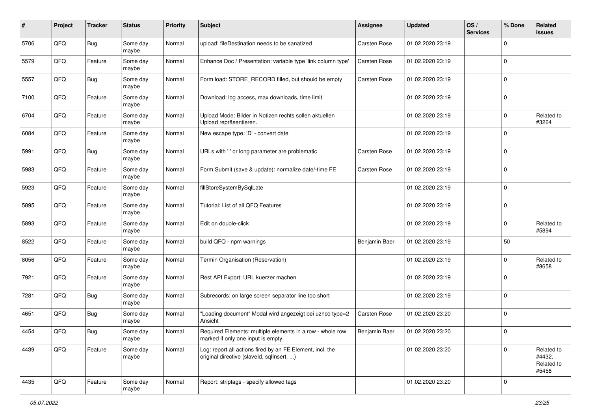| $\pmb{\#}$ | Project | <b>Tracker</b> | <b>Status</b>     | <b>Priority</b> | Subject                                                                                                | Assignee      | <b>Updated</b>   | OS/<br><b>Services</b> | % Done         | Related<br>issues                           |
|------------|---------|----------------|-------------------|-----------------|--------------------------------------------------------------------------------------------------------|---------------|------------------|------------------------|----------------|---------------------------------------------|
| 5706       | QFQ     | <b>Bug</b>     | Some day<br>maybe | Normal          | upload: fileDestination needs to be sanatized                                                          | Carsten Rose  | 01.02.2020 23:19 |                        | $\Omega$       |                                             |
| 5579       | QFQ     | Feature        | Some day<br>maybe | Normal          | Enhance Doc / Presentation: variable type 'link column type'                                           | Carsten Rose  | 01.02.2020 23:19 |                        | $\overline{0}$ |                                             |
| 5557       | QFQ     | Bug            | Some day<br>maybe | Normal          | Form load: STORE_RECORD filled, but should be empty                                                    | Carsten Rose  | 01.02.2020 23:19 |                        | $\mathbf 0$    |                                             |
| 7100       | QFQ     | Feature        | Some day<br>maybe | Normal          | Download: log access, max downloads, time limit                                                        |               | 01.02.2020 23:19 |                        | $\mathbf 0$    |                                             |
| 6704       | QFQ     | Feature        | Some day<br>maybe | Normal          | Upload Mode: Bilder in Notizen rechts sollen aktuellen<br>Upload repräsentieren.                       |               | 01.02.2020 23:19 |                        | $\mathbf 0$    | Related to<br>#3264                         |
| 6084       | QFQ     | Feature        | Some day<br>maybe | Normal          | New escape type: 'D' - convert date                                                                    |               | 01.02.2020 23:19 |                        | $\Omega$       |                                             |
| 5991       | QFQ     | Bug            | Some day<br>maybe | Normal          | URLs with ' ' or long parameter are problematic                                                        | Carsten Rose  | 01.02.2020 23:19 |                        | $\Omega$       |                                             |
| 5983       | QFQ     | Feature        | Some day<br>maybe | Normal          | Form Submit (save & update): normalize date/-time FE                                                   | Carsten Rose  | 01.02.2020 23:19 |                        | $\mathbf 0$    |                                             |
| 5923       | QFQ     | Feature        | Some day<br>maybe | Normal          | fillStoreSystemBySqlLate                                                                               |               | 01.02.2020 23:19 |                        | $\overline{0}$ |                                             |
| 5895       | QFQ     | Feature        | Some day<br>maybe | Normal          | Tutorial: List of all QFQ Features                                                                     |               | 01.02.2020 23:19 |                        | $\mathbf 0$    |                                             |
| 5893       | QFQ     | Feature        | Some day<br>maybe | Normal          | Edit on double-click                                                                                   |               | 01.02.2020 23:19 |                        | $\mathbf 0$    | Related to<br>#5894                         |
| 8522       | QFQ     | Feature        | Some day<br>maybe | Normal          | build QFQ - npm warnings                                                                               | Benjamin Baer | 01.02.2020 23:19 |                        | 50             |                                             |
| 8056       | QFQ     | Feature        | Some day<br>maybe | Normal          | Termin Organisation (Reservation)                                                                      |               | 01.02.2020 23:19 |                        | $\Omega$       | Related to<br>#8658                         |
| 7921       | QFQ     | Feature        | Some day<br>maybe | Normal          | Rest API Export: URL kuerzer machen                                                                    |               | 01.02.2020 23:19 |                        | $\Omega$       |                                             |
| 7281       | QFQ     | <b>Bug</b>     | Some day<br>maybe | Normal          | Subrecords: on large screen separator line too short                                                   |               | 01.02.2020 23:19 |                        | $\mathbf 0$    |                                             |
| 4651       | QFQ     | Bug            | Some day<br>maybe | Normal          | "Loading document" Modal wird angezeigt bei uzhcd type=2<br>Ansicht                                    | Carsten Rose  | 01.02.2020 23:20 |                        | $\overline{0}$ |                                             |
| 4454       | QFQ     | Bug            | Some day<br>maybe | Normal          | Required Elements: multiple elements in a row - whole row<br>marked if only one input is empty.        | Benjamin Baer | 01.02.2020 23:20 |                        | 0              |                                             |
| 4439       | QFQ     | Feature        | Some day<br>maybe | Normal          | Log: report all actions fired by an FE Element, incl. the<br>original directive (slaveld, sqlInsert, ) |               | 01.02.2020 23:20 |                        | $\Omega$       | Related to<br>#4432,<br>Related to<br>#5458 |
| 4435       | QFQ     | Feature        | Some day<br>maybe | Normal          | Report: striptags - specify allowed tags                                                               |               | 01.02.2020 23:20 |                        | l 0            |                                             |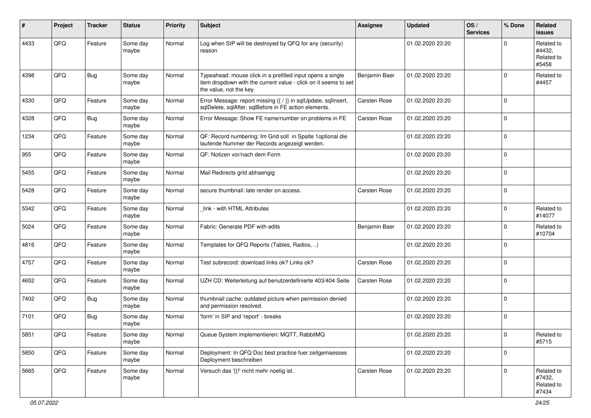| ∦    | Project        | <b>Tracker</b> | <b>Status</b>     | <b>Priority</b> | <b>Subject</b>                                                                                                                                           | <b>Assignee</b>     | <b>Updated</b>   | OS/<br><b>Services</b> | % Done       | Related<br><b>issues</b>                    |
|------|----------------|----------------|-------------------|-----------------|----------------------------------------------------------------------------------------------------------------------------------------------------------|---------------------|------------------|------------------------|--------------|---------------------------------------------|
| 4433 | QFQ            | Feature        | Some day<br>maybe | Normal          | Log when SIP will be destroyed by QFQ for any (security)<br>reason                                                                                       |                     | 01.02.2020 23:20 |                        | $\Omega$     | Related to<br>#4432,<br>Related to<br>#5458 |
| 4398 | QFQ            | <b>Bug</b>     | Some day<br>maybe | Normal          | Typeahead: mouse click in a prefilled input opens a single<br>item dropdown with the current value - click on it seems to set<br>the value, not the key. | Benjamin Baer       | 01.02.2020 23:20 |                        | $\Omega$     | Related to<br>#4457                         |
| 4330 | QFQ            | Feature        | Some day<br>maybe | Normal          | Error Message: report missing {{ / }} in sqlUpdate, sqlInsert,<br>sqlDelete, sqlAfter, sqlBefore in FE action elements.                                  | Carsten Rose        | 01.02.2020 23:20 |                        | $\Omega$     |                                             |
| 4328 | QFQ            | <b>Bug</b>     | Some day<br>maybe | Normal          | Error Message: Show FE name/number on problems in FE                                                                                                     | Carsten Rose        | 01.02.2020 23:20 |                        | $\mathbf 0$  |                                             |
| 1234 | QFQ            | Feature        | Some day<br>maybe | Normal          | QF: Record numbering: Im Grid soll in Spalte 1 optional die<br>laufende Nummer der Records angezeigt werden.                                             |                     | 01.02.2020 23:20 |                        | $\mathbf{0}$ |                                             |
| 955  | QFQ            | Feature        | Some day<br>maybe | Normal          | QF: Notizen vor/nach dem Form                                                                                                                            |                     | 01.02.2020 23:20 |                        | $\mathbf 0$  |                                             |
| 5455 | QFQ            | Feature        | Some day<br>maybe | Normal          | Mail Redirects grld abhaengig                                                                                                                            |                     | 01.02.2020 23:20 |                        | $\Omega$     |                                             |
| 5428 | QFQ            | Feature        | Some day<br>maybe | Normal          | secure thumbnail: late render on access.                                                                                                                 | <b>Carsten Rose</b> | 01.02.2020 23:20 |                        | $\Omega$     |                                             |
| 5342 | QFQ            | Feature        | Some day<br>maybe | Normal          | link - with HTML Attributes                                                                                                                              |                     | 01.02.2020 23:20 |                        | $\Omega$     | Related to<br>#14077                        |
| 5024 | QFQ            | Feature        | Some day<br>maybe | Normal          | Fabric: Generate PDF with edits                                                                                                                          | Benjamin Baer       | 01.02.2020 23:20 |                        | $\Omega$     | Related to<br>#10704                        |
| 4816 | QFQ            | Feature        | Some day<br>maybe | Normal          | Templates for QFQ Reports (Tables, Radios, )                                                                                                             |                     | 01.02.2020 23:20 |                        | $\Omega$     |                                             |
| 4757 | QFQ            | Feature        | Some day<br>maybe | Normal          | Test subrecord: download links ok? Links ok?                                                                                                             | Carsten Rose        | 01.02.2020 23:20 |                        | $\mathbf 0$  |                                             |
| 4652 | QFQ            | Feature        | Some day<br>maybe | Normal          | UZH CD: Weiterleitung auf benutzerdefinierte 403/404 Seite                                                                                               | Carsten Rose        | 01.02.2020 23:20 |                        | $\mathbf 0$  |                                             |
| 7402 | QFQ            | <b>Bug</b>     | Some day<br>maybe | Normal          | thumbnail cache: outdated picture when permission denied<br>and permission resolved.                                                                     |                     | 01.02.2020 23:20 |                        | $\Omega$     |                                             |
| 7101 | QFQ            | Bug            | Some day<br>maybe | Normal          | 'form' in SIP and 'report' - breaks                                                                                                                      |                     | 01.02.2020 23:20 |                        | $\Omega$     |                                             |
| 5851 | $\mathsf{QFQ}$ | Feature        | Some day<br>maybe | Normal          | Queue System implementieren: MQTT, RabbitMQ                                                                                                              |                     | 01.02.2020 23:20 |                        | $\pmb{0}$    | Related to<br>#5715                         |
| 5850 | QFQ            | Feature        | Some day<br>maybe | Normal          | Deployment: In QFQ Doc best practice fuer zeitgemaesses<br>Deployment beschreiben                                                                        |                     | 01.02.2020 23:20 |                        | $\Omega$     |                                             |
| 5665 | QFQ            | Feature        | Some day<br>maybe | Normal          | Versuch das '{{!' nicht mehr noetig ist.                                                                                                                 | Carsten Rose        | 01.02.2020 23:20 |                        | $\mathbf 0$  | Related to<br>#7432,<br>Related to<br>#7434 |